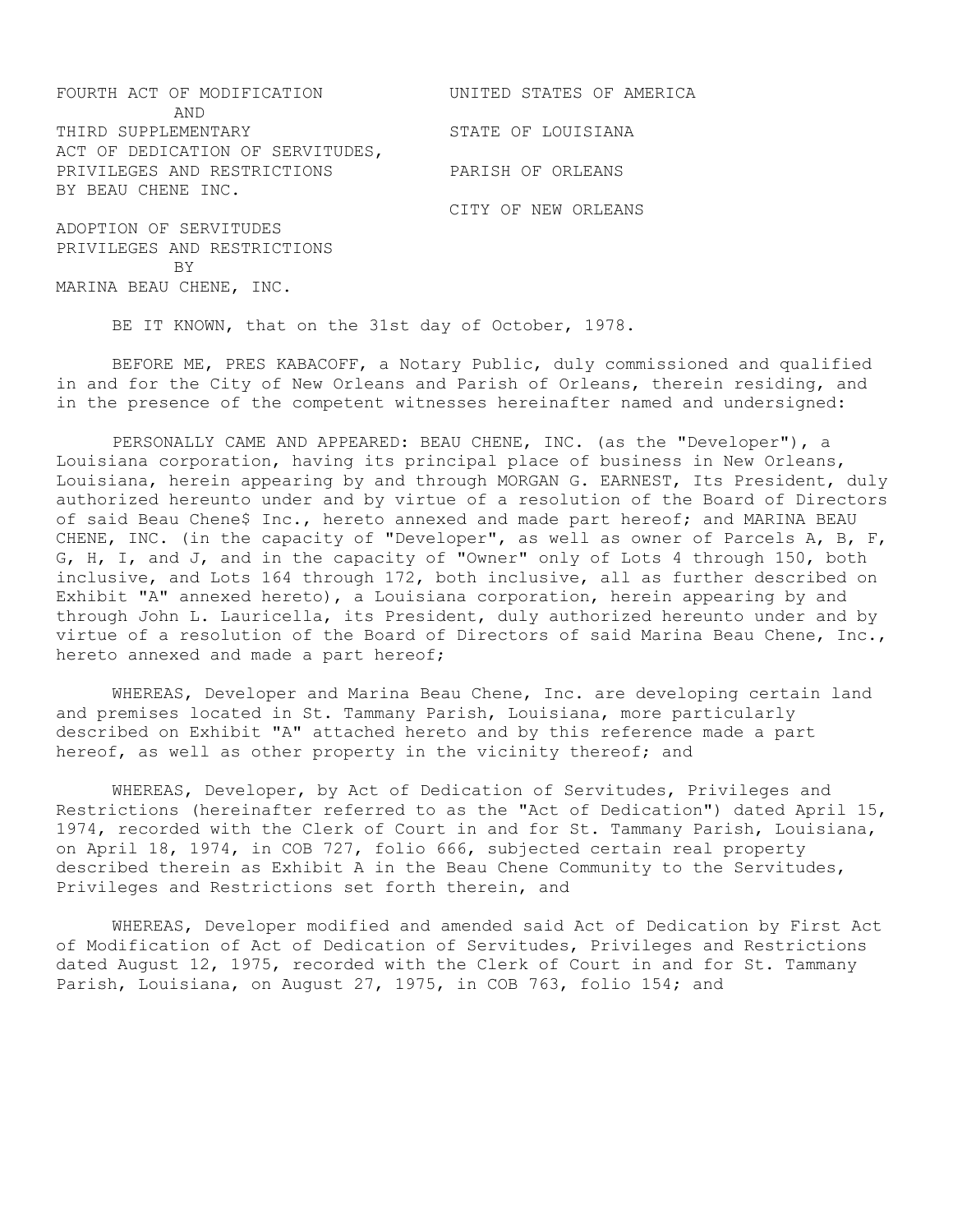| FOURTH ACT OF MODIFICATION       | UNITED STATES OF AMERICA |
|----------------------------------|--------------------------|
| AND                              |                          |
| THIRD SUPPLEMENTARY              | STATE OF LOUISIANA       |
| ACT OF DEDICATION OF SERVITUDES, |                          |
| PRIVILEGES AND RESTRICTIONS      | PARISH OF ORLEANS        |
| BY BEAU CHENE INC.               |                          |
|                                  | CITY OF NEW ORLEANS      |
| ADOPTION OF SERVITUDES           |                          |
| PRIVILEGES AND RESTRICTIONS      |                          |
| <b>BY</b>                        |                          |

BE IT KNOWN, that on the 31st day of October, 1978.

MARINA BEAU CHENE, INC.

BEFORE ME, PRES KABACOFF, a Notary Public, duly commissioned and qualified in and for the City of New Orleans and Parish of Orleans, therein residing, and in the presence of the competent witnesses hereinafter named and undersigned:

PERSONALLY CAME AND APPEARED: BEAU CHENE, INC. (as the "Developer"), a Louisiana corporation, having its principal place of business in New Orleans, Louisiana, herein appearing by and through MORGAN G. EARNEST, Its President, duly authorized hereunto under and by virtue of a resolution of the Board of Directors of said Beau Chene\$ Inc., hereto annexed and made part hereof; and MARINA BEAU CHENE, INC. (in the capacity of "Developer", as well as owner of Parcels A, B, F, G, H, I, and J, and in the capacity of "Owner" only of Lots 4 through 150, both inclusive, and Lots 164 through 172, both inclusive, all as further described on Exhibit "A" annexed hereto), a Louisiana corporation, herein appearing by and through John L. Lauricella, its President, duly authorized hereunto under and by virtue of a resolution of the Board of Directors of said Marina Beau Chene, Inc., hereto annexed and made a part hereof;

WHEREAS, Developer and Marina Beau Chene, Inc. are developing certain land and premises located in St. Tammany Parish, Louisiana, more particularly described on Exhibit "A" attached hereto and by this reference made a part hereof, as well as other property in the vicinity thereof; and

WHEREAS, Developer, by Act of Dedication of Servitudes, Privileges and Restrictions (hereinafter referred to as the "Act of Dedication") dated April 15, 1974, recorded with the Clerk of Court in and for St. Tammany Parish, Louisiana, on April 18, 1974, in COB 727, folio 666, subjected certain real property described therein as Exhibit A in the Beau Chene Community to the Servitudes, Privileges and Restrictions set forth therein, and

WHEREAS, Developer modified and amended said Act of Dedication by First Act of Modification of Act of Dedication of Servitudes, Privileges and Restrictions dated August 12, 1975, recorded with the Clerk of Court in and for St. Tammany Parish, Louisiana, on August 27, 1975, in COB 763, folio 154; and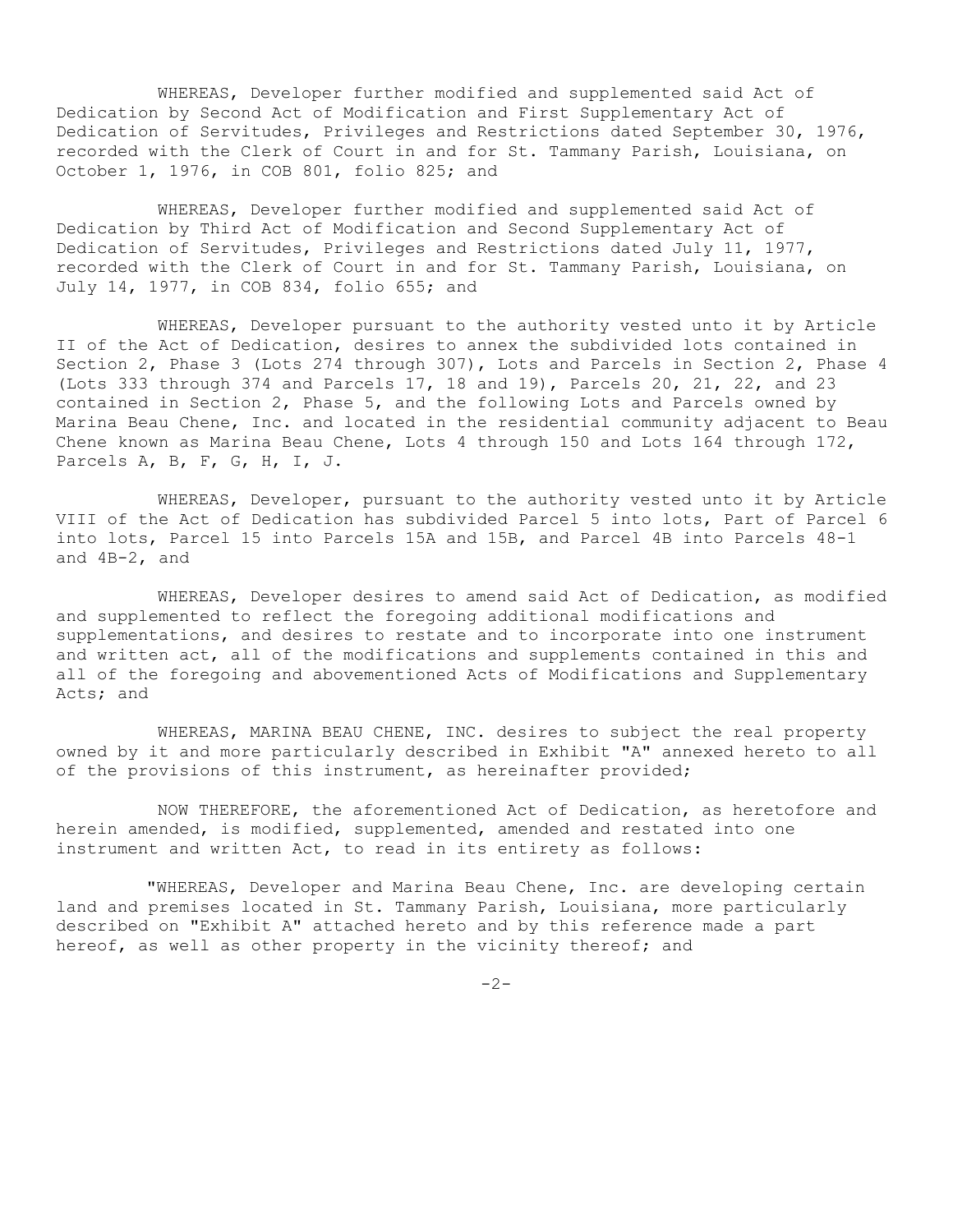WHEREAS, Developer further modified and supplemented said Act of Dedication by Second Act of Modification and First Supplementary Act of Dedication of Servitudes, Privileges and Restrictions dated September 30, 1976, recorded with the Clerk of Court in and for St. Tammany Parish, Louisiana, on October 1, 1976, in COB 801, folio 825; and

WHEREAS, Developer further modified and supplemented said Act of Dedication by Third Act of Modification and Second Supplementary Act of Dedication of Servitudes, Privileges and Restrictions dated July 11, 1977, recorded with the Clerk of Court in and for St. Tammany Parish, Louisiana, on July 14, 1977, in COB 834, folio 655; and

WHEREAS, Developer pursuant to the authority vested unto it by Article II of the Act of Dedication, desires to annex the subdivided lots contained in Section 2, Phase 3 (Lots 274 through 307), Lots and Parcels in Section 2, Phase 4 (Lots 333 through 374 and Parcels 17, 18 and 19), Parcels 20, 21, 22, and 23 contained in Section 2, Phase 5, and the following Lots and Parcels owned by Marina Beau Chene, Inc. and located in the residential community adjacent to Beau Chene known as Marina Beau Chene, Lots 4 through 150 and Lots 164 through 172, Parcels A, B, F, G, H, I, J.

WHEREAS, Developer, pursuant to the authority vested unto it by Article VIII of the Act of Dedication has subdivided Parcel 5 into lots, Part of Parcel 6 into lots, Parcel 15 into Parcels 15A and 15B, and Parcel 4B into Parcels 48-1 and 4B-2, and

WHEREAS, Developer desires to amend said Act of Dedication, as modified and supplemented to reflect the foregoing additional modifications and supplementations, and desires to restate and to incorporate into one instrument and written act, all of the modifications and supplements contained in this and all of the foregoing and abovementioned Acts of Modifications and Supplementary Acts; and

WHEREAS, MARINA BEAU CHENE, INC. desires to subject the real property owned by it and more particularly described in Exhibit "A" annexed hereto to all of the provisions of this instrument, as hereinafter provided;

NOW THEREFORE, the aforementioned Act of Dedication, as heretofore and herein amended, is modified, supplemented, amended and restated into one instrument and written Act, to read in its entirety as follows:

"WHEREAS, Developer and Marina Beau Chene, Inc. are developing certain land and premises located in St. Tammany Parish, Louisiana, more particularly described on "Exhibit A" attached hereto and by this reference made a part hereof, as well as other property in the vicinity thereof; and

 $-2-$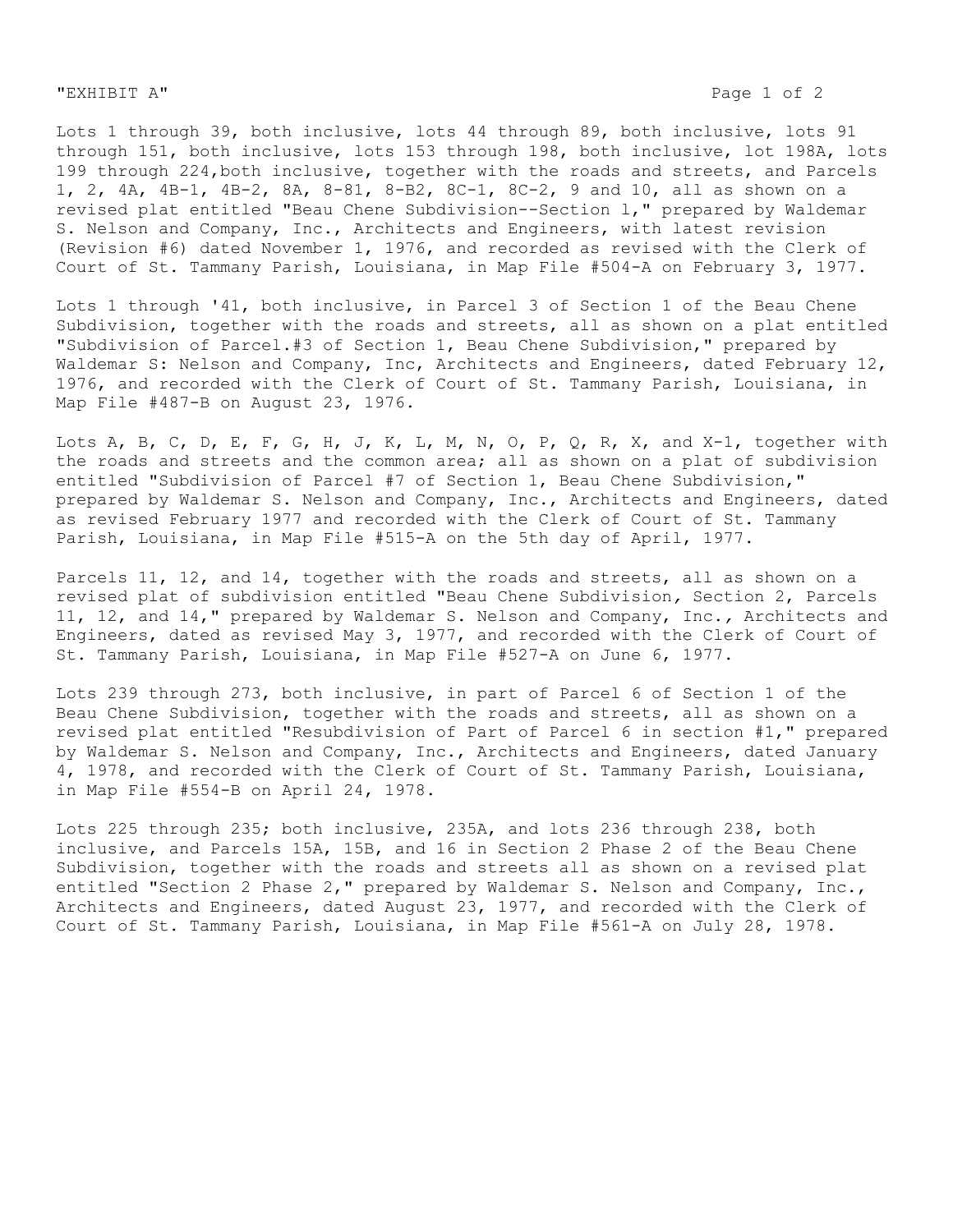"EXHIBIT A" Page 1 of 2

Lots 1 through 39, both inclusive, lots 44 through 89, both inclusive, lots 91 through 151, both inclusive, lots 153 through 198, both inclusive, lot 198A, lots 199 through 224,both inclusive, together with the roads and streets, and Parcels 1, 2, 4A, 4B-1, 4B-2, 8A, 8-81, 8-B2, 8C-1, 8C-2, 9 and 10, all as shown on a revised plat entitled "Beau Chene Subdivision--Section l," prepared by Waldemar S. Nelson and Company, Inc., Architects and Engineers, with latest revision (Revision #6) dated November 1, 1976, and recorded as revised with the Clerk of Court of St. Tammany Parish, Louisiana, in Map File #504-A on February 3, 1977.

Lots 1 through '41, both inclusive, in Parcel 3 of Section 1 of the Beau Chene Subdivision, together with the roads and streets, all as shown on a plat entitled "Subdivision of Parcel.#3 of Section 1, Beau Chene Subdivision," prepared by Waldemar S: Nelson and Company, Inc, Architects and Engineers, dated February 12, 1976, and recorded with the Clerk of Court of St. Tammany Parish, Louisiana, in Map File #487-B on August 23, 1976.

Lots A, B, C, D, E, F, G, H, J, K, L, M, N, O, P, Q, R, X, and X-1, together with the roads and streets and the common area; all as shown on a plat of subdivision entitled "Subdivision of Parcel #7 of Section 1, Beau Chene Subdivision," prepared by Waldemar S. Nelson and Company, Inc., Architects and Engineers, dated as revised February 1977 and recorded with the Clerk of Court of St. Tammany Parish, Louisiana, in Map File #515-A on the 5th day of April, 1977.

Parcels 11, 12, and 14, together with the roads and streets, all as shown on a revised plat of subdivision entitled "Beau Chene Subdivision*,* Section 2, Parcels 11, 12, and 14," prepared by Waldemar S. Nelson and Company, Inc.*,* Architects and Engineers, dated as revised May 3, 1977, and recorded with the Clerk of Court of St. Tammany Parish, Louisiana, in Map File #527-A on June 6, 1977.

Lots 239 through 273, both inclusive, in part of Parcel 6 of Section 1 of the Beau Chene Subdivision, together with the roads and streets, all as shown on a revised plat entitled "Resubdivision of Part of Parcel 6 in section #1," prepared by Waldemar S. Nelson and Company, Inc., Architects and Engineers, dated January 4, 1978, and recorded with the Clerk of Court of St. Tammany Parish, Louisiana, in Map File #554-B on April 24, 1978.

Lots 225 through 235; both inclusive, 235A, and lots 236 through 238, both inclusive, and Parcels 15A, 15B, and 16 in Section 2 Phase 2 of the Beau Chene Subdivision, together with the roads and streets all as shown on a revised plat entitled "Section 2 Phase 2," prepared by Waldemar S. Nelson and Company, Inc., Architects and Engineers, dated August 23, 1977, and recorded with the Clerk of Court of St. Tammany Parish, Louisiana, in Map File #561-A on July 28, 1978.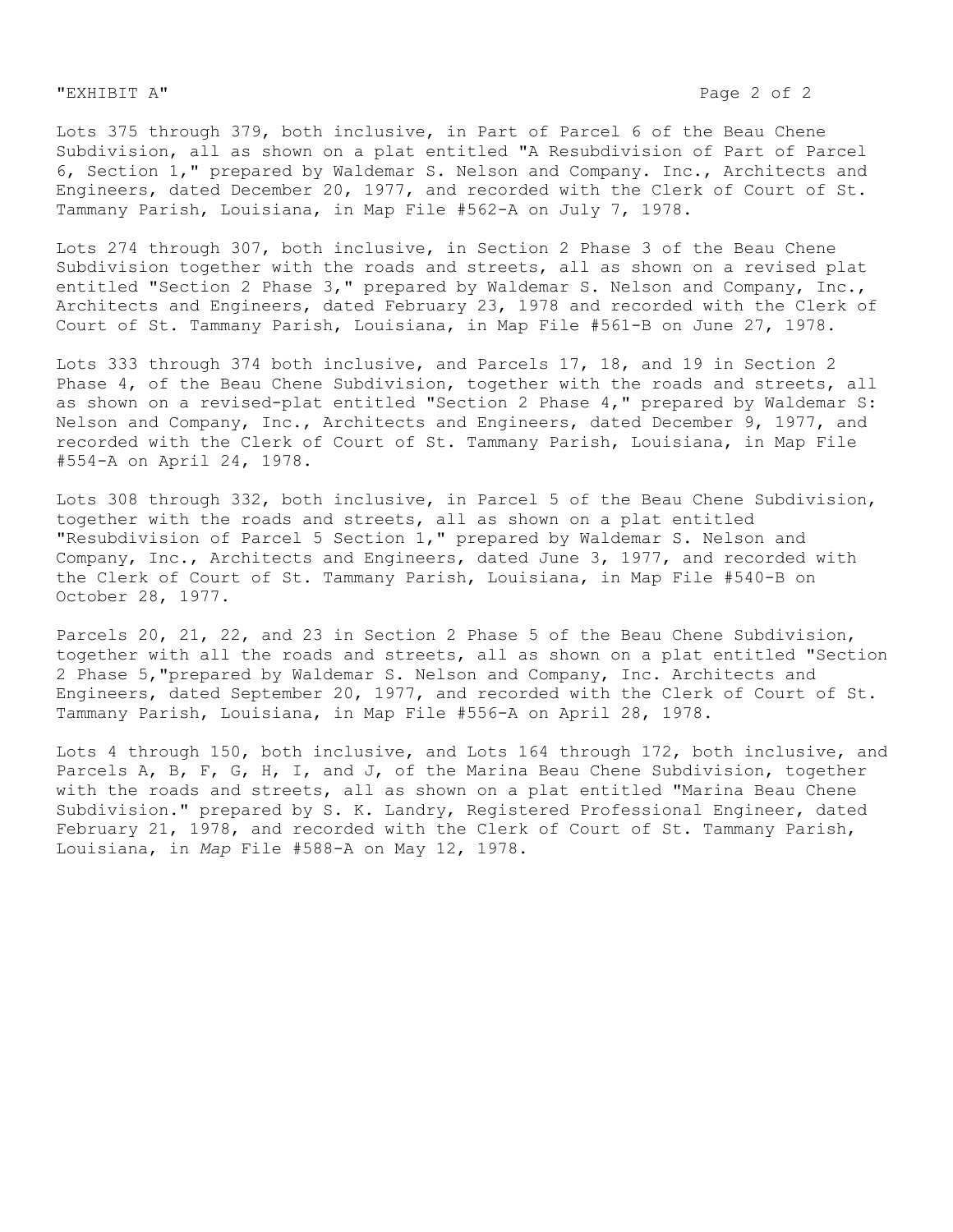Lots 375 through 379, both inclusive, in Part of Parcel 6 of the Beau Chene Subdivision, all as shown on a plat entitled "A Resubdivision of Part of Parcel 6, Section 1," prepared by Waldemar S. Nelson and Company. Inc., Architects and Engineers, dated December 20, 1977, and recorded with the Clerk of Court of St**.** Tammany Parish, Louisiana, in Map File #562-A on July 7, 1978.

Lots 274 through 307, both inclusive, in Section 2 Phase 3 of the Beau Chene Subdivision together with the roads and streets, all as shown on a revised plat entitled "Section 2 Phase 3," prepared by Waldemar S. Nelson and Company, Inc., Architects and Engineers, dated February 23, 1978 and recorded with the Clerk of Court of St. Tammany Parish, Louisiana, in Map File #561-B on June 27, 1978.

Lots 333 through 374 both inclusive, and Parcels 17, 18, and 19 in Section 2 Phase 4, of the Beau Chene Subdivision, together with the roads and streets, all as shown on a revised-plat entitled "Section 2 Phase 4," prepared by Waldemar S: Nelson and Company, Inc., Architects and Engineers, dated December 9, 1977, and recorded with the Clerk of Court of St. Tammany Parish, Louisiana, in Map File #554-A on April 24, 1978.

Lots 308 through 332, both inclusive, in Parcel 5 of the Beau Chene Subdivision, together with the roads and streets, all as shown on a plat entitled "Resubdivision of Parcel 5 Section 1," prepared by Waldemar S. Nelson and Company, Inc., Architects and Engineers, dated June 3, 1977, and recorded with the Clerk of Court of St. Tammany Parish, Louisiana, in Map File #540-B on October 28, 1977.

Parcels 20, 21, 22, and 23 in Section 2 Phase 5 of the Beau Chene Subdivision, together with all the roads and streets, all as shown on a plat entitled "Section 2 Phase 5,"prepared by Waldemar S. Nelson and Company, Inc. Architects and Engineers, dated September 20, 1977, and recorded with the Clerk of Court of St. Tammany Parish, Louisiana, in Map File #556-A on April 28, 1978.

Lots 4 through 150, both inclusive, and Lots 164 through 172, both inclusive, and Parcels A, B, F, G, H, I, and J, of the Marina Beau Chene Subdivision, together with the roads and streets, all as shown on a plat entitled "Marina Beau Chene Subdivision." prepared by S. K. Landry, Registered Professional Engineer, dated February 21, 1978, and recorded with the Clerk of Court of St. Tammany Parish, Louisiana, in *Map* File #588-A on May 12, 1978.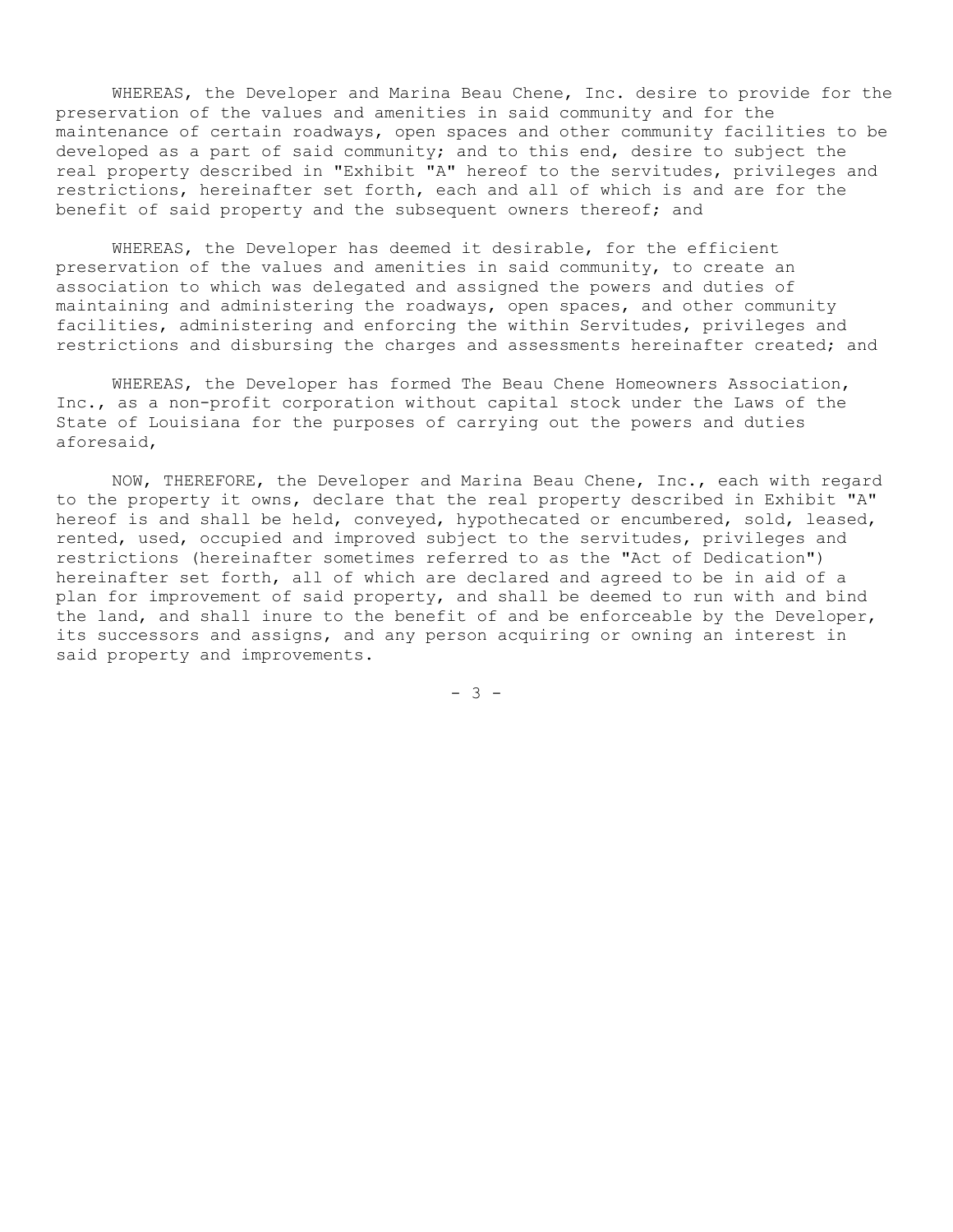WHEREAS, the Developer and Marina Beau Chene, Inc. desire to provide for the preservation of the values and amenities in said community and for the maintenance of certain roadways, open spaces and other community facilities to be developed as a part of said community; and to this end, desire to subject the real property described in "Exhibit "A" hereof to the servitudes, privileges and restrictions, hereinafter set forth, each and all of which is and are for the benefit of said property and the subsequent owners thereof; and

WHEREAS, the Developer has deemed it desirable, for the efficient preservation of the values and amenities in said community, to create an association to which was delegated and assigned the powers and duties of maintaining and administering the roadways, open spaces, and other community facilities, administering and enforcing the within Servitudes, privileges and restrictions and disbursing the charges and assessments hereinafter created; and

WHEREAS, the Developer has formed The Beau Chene Homeowners Association, Inc., as a non-profit corporation without capital stock under the Laws of the State of Louisiana for the purposes of carrying out the powers and duties aforesaid,

NOW, THEREFORE, the Developer and Marina Beau Chene, Inc., each with regard to the property it owns, declare that the real property described in Exhibit "A" hereof is and shall be held, conveyed, hypothecated or encumbered, sold, leased, rented, used, occupied and improved subject to the servitudes, privileges and restrictions (hereinafter sometimes referred to as the "Act of Dedication") hereinafter set forth, all of which are declared and agreed to be in aid of a plan for improvement of said property, and shall be deemed to run with and bind the land, and shall inure to the benefit of and be enforceable by the Developer, its successors and assigns, and any person acquiring or owning an interest in said property and improvements.

- 3 -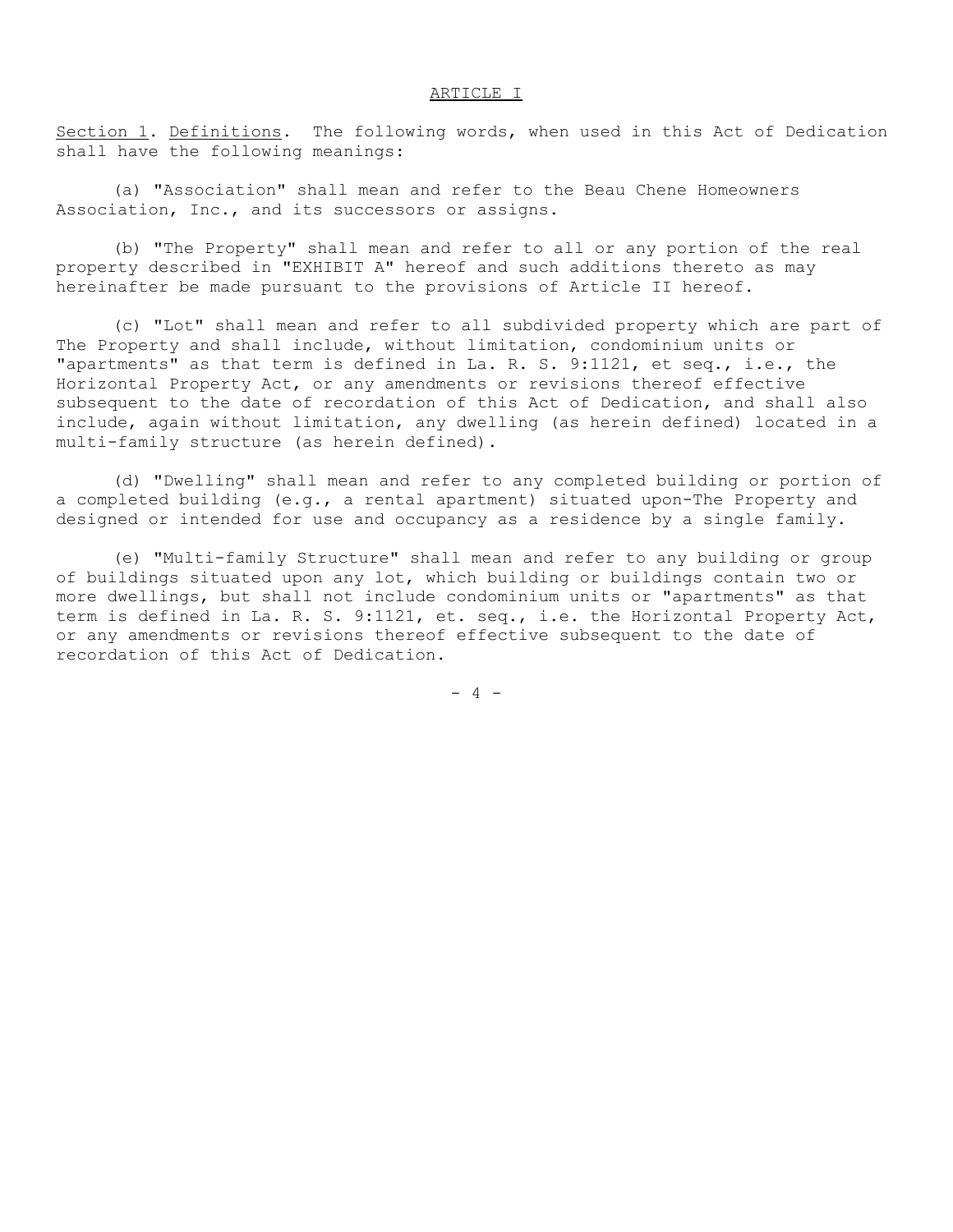### ARTICLE I

Section 1. Definitions. The following words, when used in this Act of Dedication shall have the following meanings:

(a) "Association" shall mean and refer to the Beau Chene Homeowners Association, Inc., and its successors or assigns.

(b) "The Property" shall mean and refer to all or any portion of the real property described in "EXHIBIT A" hereof and such additions thereto as may hereinafter be made pursuant to the provisions of Article II hereof.

(c) "Lot" shall mean and refer to all subdivided property which are part of The Property and shall include, without limitation, condominium units or "apartments" as that term is defined in La. R. S. 9:1121, et seq., i.e., the Horizontal Property Act, or any amendments or revisions thereof effective subsequent to the date of recordation of this Act of Dedication, and shall also include, again without limitation, any dwelling (as herein defined) located in a multi-family structure (as herein defined).

(d) "Dwelling" shall mean and refer to any completed building or portion of a completed building (e.g., a rental apartment) situated upon-The Property and designed or intended for use and occupancy as a residence by a single family.

(e) "Multi-family Structure" shall mean and refer to any building or group of buildings situated upon any lot, which building or buildings contain two or more dwellings, but shall not include condominium units or "apartments" as that term is defined in La. R. S. 9:1121, et. seq., i.e. the Horizontal Property Act, or any amendments or revisions thereof effective subsequent to the date of recordation of this Act of Dedication.

 $- 4 -$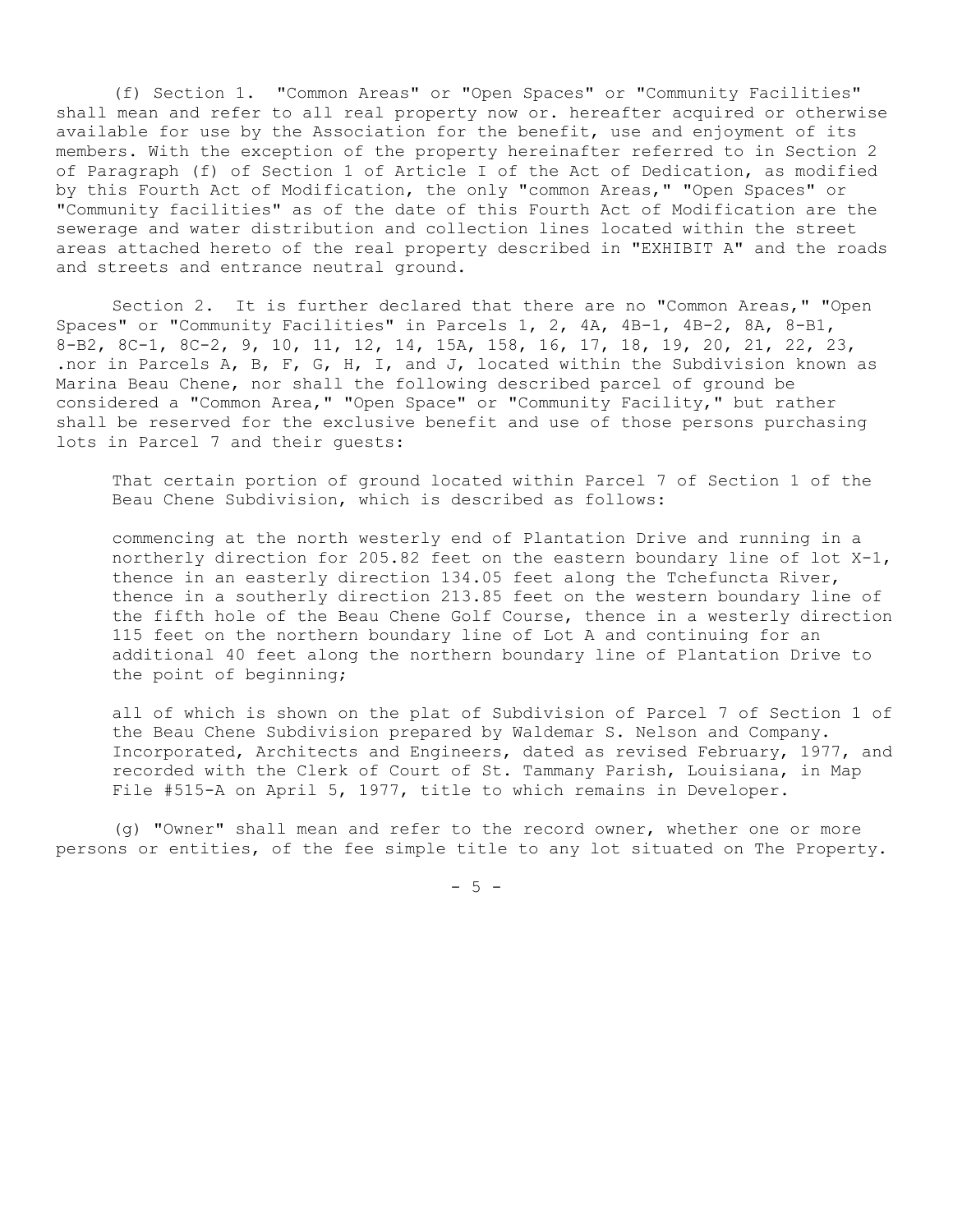(f) Section 1. "Common Areas" or "Open Spaces" or "Community Facilities" shall mean and refer to all real property now or. hereafter acquired or otherwise available for use by the Association for the benefit, use and enjoyment of its members. With the exception of the property hereinafter referred to in Section 2 of Paragraph (f) of Section 1 of Article I of the Act of Dedication, as modified by this Fourth Act of Modification, the only "common Areas," "Open Spaces" or "Community facilities" as of the date of this Fourth Act of Modification are the sewerage and water distribution and collection lines located within the street areas attached hereto of the real property described in "EXHIBIT A" and the roads and streets and entrance neutral ground.

Section 2. It is further declared that there are no "Common Areas," "Open Spaces" or "Community Facilities" in Parcels 1, 2, 4A, 4B-1, 4B-2, 8A, 8-B1, 8-B2, 8C-1, 8C-2, 9, 10, 11, 12, 14, 15A, 158, 16, 17, 18, 19, 20, 21, 22, 23, .nor in Parcels A, B, F, G, H, I, and J, located within the Subdivision known as Marina Beau Chene, nor shall the following described parcel of ground be considered a "Common Area," "Open Space" or "Community Facility," but rather shall be reserved for the exclusive benefit and use of those persons purchasing lots in Parcel 7 and their guests:

That certain portion of ground located within Parcel 7 of Section 1 of the Beau Chene Subdivision, which is described as follows:

commencing at the north westerly end of Plantation Drive and running in a northerly direction for 205.82 feet on the eastern boundary line of lot X-1, thence in an easterly direction 134.05 feet along the Tchefuncta River, thence in a southerly direction 213.85 feet on the western boundary line of the fifth hole of the Beau Chene Golf Course, thence in a westerly direction 115 feet on the northern boundary line of Lot A and continuing for an additional 40 feet along the northern boundary line of Plantation Drive to the point of beginning;

all of which is shown on the plat of Subdivision of Parcel 7 of Section 1 of the Beau Chene Subdivision prepared by Waldemar S. Nelson and Company. Incorporated, Architects and Engineers, dated as revised February, 1977, and recorded with the Clerk of Court of St. Tammany Parish, Louisiana, in Map File #515-A on April 5, 1977, title to which remains in Developer.

(g) "Owner" shall mean and refer to the record owner, whether one or more persons or entities, of the fee simple title to any lot situated on The Property.

 $-5 -$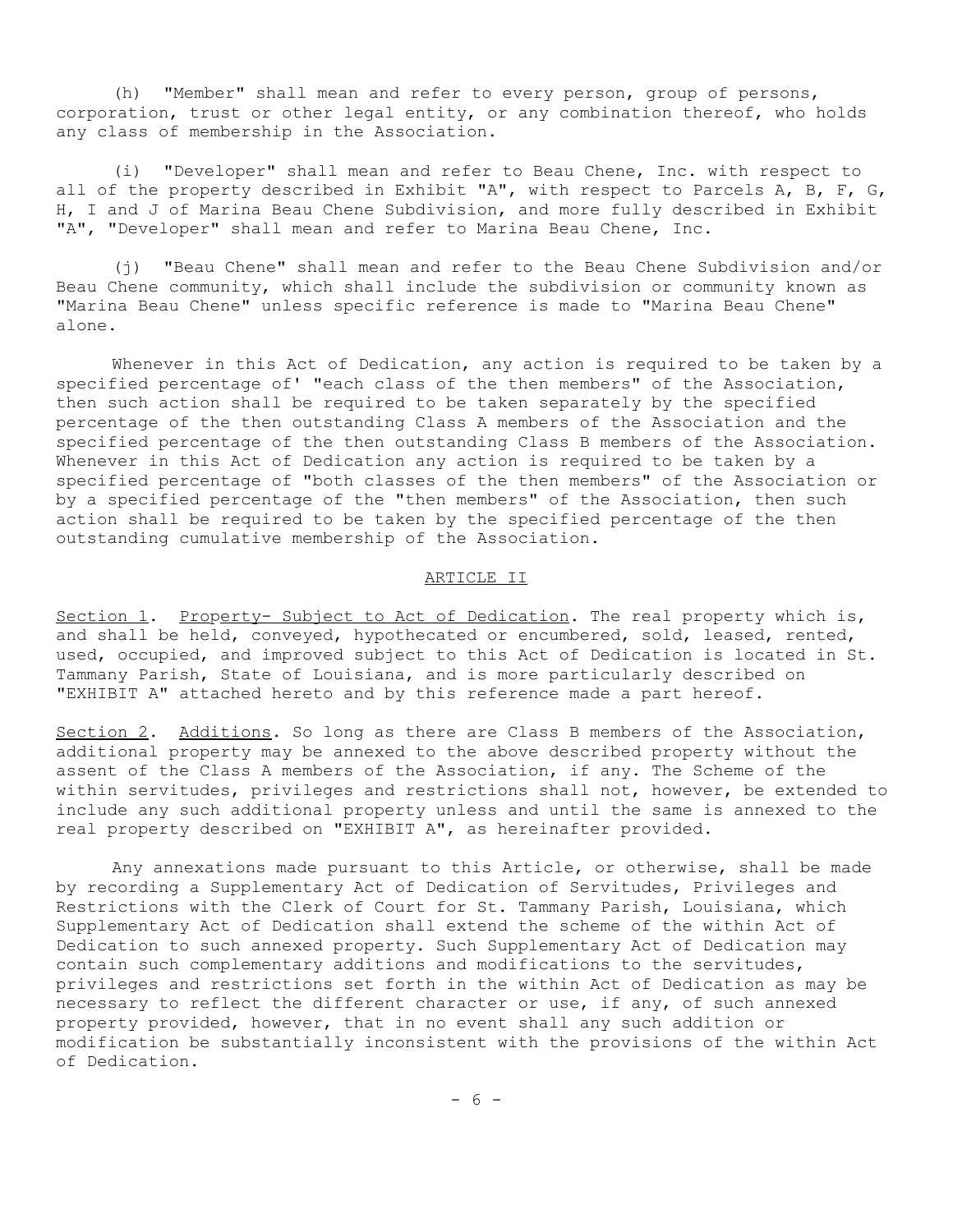(h) "Member" shall mean and refer to every person, group of persons, corporation, trust or other legal entity, or any combination thereof, who holds any class of membership in the Association.

(i) "Developer" shall mean and refer to Beau Chene, Inc. with respect to all of the property described in Exhibit "A", with respect to Parcels A, B, F, G, H, I and J of Marina Beau Chene Subdivision, and more fully described in Exhibit "A", "Developer" shall mean and refer to Marina Beau Chene, Inc.

(j) "Beau Chene" shall mean and refer to the Beau Chene Subdivision and/or Beau Chene community, which shall include the subdivision or community known as "Marina Beau Chene" unless specific reference is made to "Marina Beau Chene" alone.

Whenever in this Act of Dedication, any action is required to be taken by a specified percentage of' "each class of the then members" of the Association, then such action shall be required to be taken separately by the specified percentage of the then outstanding Class A members of the Association and the specified percentage of the then outstanding Class B members of the Association. Whenever in this Act of Dedication any action is required to be taken by a specified percentage of "both classes of the then members" of the Association or by a specified percentage of the "then members" of the Association, then such action shall be required to be taken by the specified percentage of the then outstanding cumulative membership of the Association.

#### ARTICLE II

Section 1. Property- Subject to Act of Dedication. The real property which is, and shall be held, conveyed, hypothecated or encumbered, sold, leased, rented, used, occupied, and improved subject to this Act of Dedication is located in St. Tammany Parish, State of Louisiana, and is more particularly described on "EXHIBIT A" attached hereto and by this reference made a part hereof.

Section 2. Additions. So long as there are Class B members of the Association, additional property may be annexed to the above described property without the assent of the Class A members of the Association, if any. The Scheme of the within servitudes, privileges and restrictions shall not, however, be extended to include any such additional property unless and until the same is annexed to the real property described on "EXHIBIT A", as hereinafter provided.

Any annexations made pursuant to this Article, or otherwise, shall be made by recording a Supplementary Act of Dedication of Servitudes, Privileges and Restrictions with the Clerk of Court for St. Tammany Parish, Louisiana, which Supplementary Act of Dedication shall extend the scheme of the within Act of Dedication to such annexed property. Such Supplementary Act of Dedication may contain such complementary additions and modifications to the servitudes, privileges and restrictions set forth in the within Act of Dedication as may be necessary to reflect the different character or use, if any, of such annexed property provided, however, that in no event shall any such addition or modification be substantially inconsistent with the provisions of the within Act of Dedication.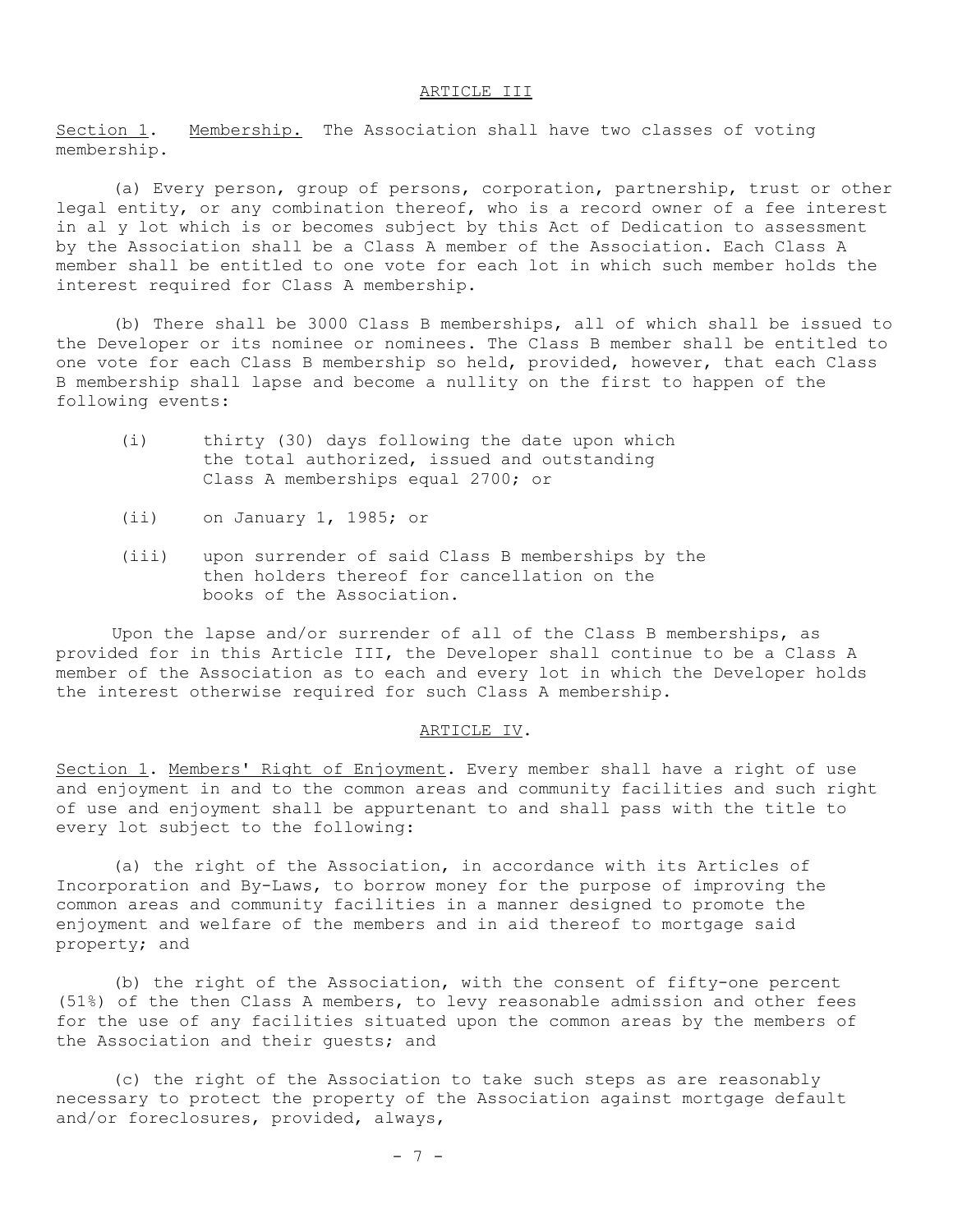#### ARTICLE III

Section 1. Membership. The Association shall have two classes of voting membership.

(a) Every person, group of persons, corporation, partnership, trust or other legal entity, or any combination thereof, who is a record owner of a fee interest in al y lot which is or becomes subject by this Act of Dedication to assessment by the Association shall be a Class A member of the Association. Each Class A member shall be entitled to one vote for each lot in which such member holds the interest required for Class A membership.

(b) There shall be 3000 Class B memberships, all of which shall be issued to the Developer or its nominee or nominees. The Class B member shall be entitled to one vote for each Class B membership so held, provided, however, that each Class B membership shall lapse and become a nullity on the first to happen of the following events:

- (i) thirty (30) days following the date upon which the total authorized, issued and outstanding Class A memberships equal 2700; or
- (ii) on January 1, 1985; or
- (iii) upon surrender of said Class B memberships by the then holders thereof for cancellation on the books of the Association.

Upon the lapse and/or surrender of all of the Class B memberships, as provided for in this Article III, the Developer shall continue to be a Class A member of the Association as to each and every lot in which the Developer holds the interest otherwise required for such Class A membership.

#### ARTICLE IV.

Section 1. Members' Right of Enjoyment. Every member shall have a right of use and enjoyment in and to the common areas and community facilities and such right of use and enjoyment shall be appurtenant to and shall pass with the title to every lot subject to the following:

(a) the right of the Association, in accordance with its Articles of Incorporation and By-Laws, to borrow money for the purpose of improving the common areas and community facilities in a manner designed to promote the enjoyment and welfare of the members and in aid thereof to mortgage said property; and

(b) the right of the Association, with the consent of fifty-one percent (51%) of the then Class A members, to levy reasonable admission and other fees for the use of any facilities situated upon the common areas by the members of the Association and their guests; and

(c) the right of the Association to take such steps as are reasonably necessary to protect the property of the Association against mortgage default and/or foreclosures, provided, always,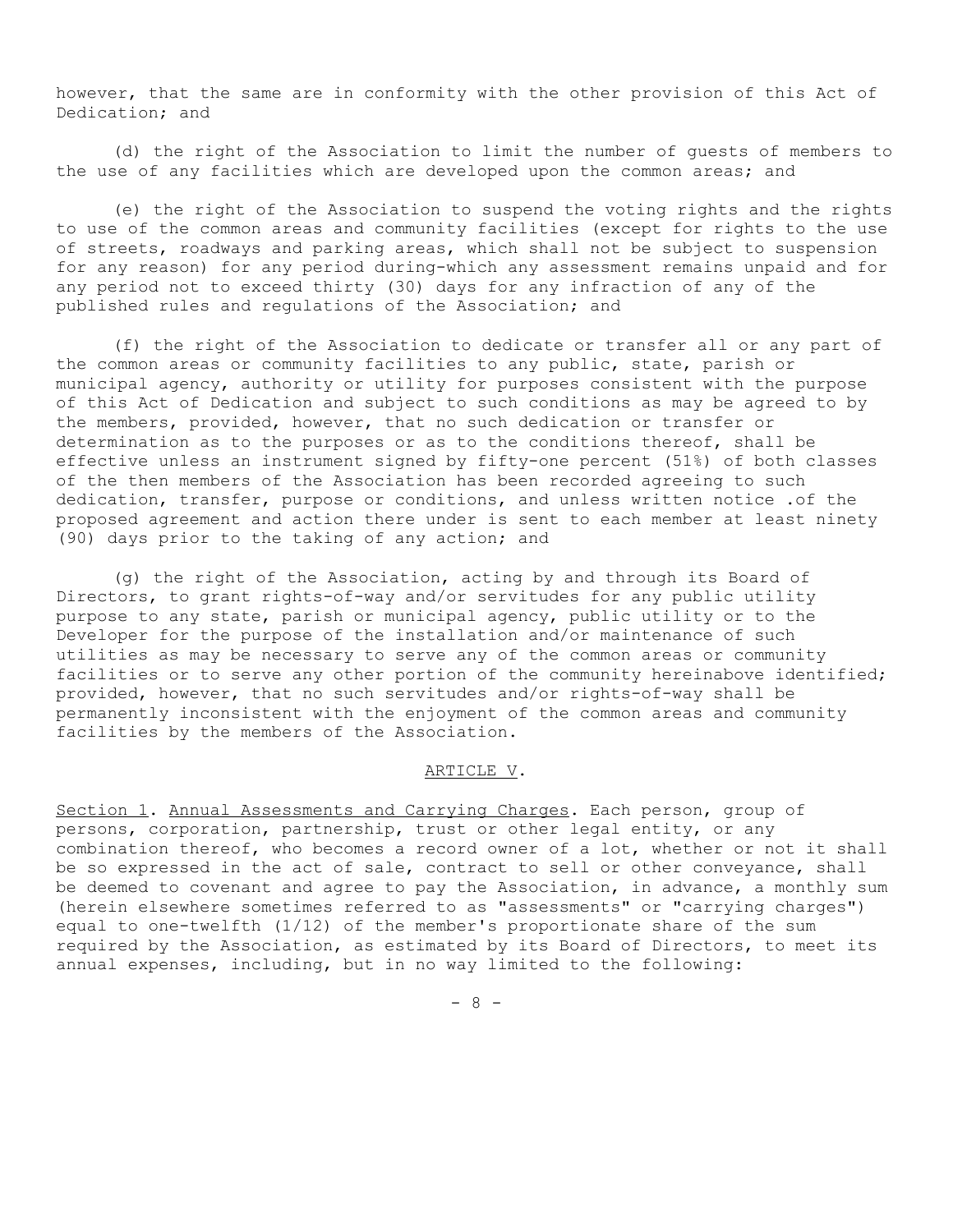however, that the same are in conformity with the other provision of this Act of Dedication; and

(d) the right of the Association to limit the number of guests of members to the use of any facilities which are developed upon the common areas; and

(e) the right of the Association to suspend the voting rights and the rights to use of the common areas and community facilities (except for rights to the use of streets, roadways and parking areas, which shall not be subject to suspension for any reason) for any period during-which any assessment remains unpaid and for any period not to exceed thirty (30) days for any infraction of any of the published rules and regulations of the Association; and

(f) the right of the Association to dedicate or transfer all or any part of the common areas or community facilities to any public, state, parish or municipal agency, authority or utility for purposes consistent with the purpose of this Act of Dedication and subject to such conditions as may be agreed to by the members, provided, however, that no such dedication or transfer or determination as to the purposes or as to the conditions thereof, shall be effective unless an instrument signed by fifty-one percent (51%) of both classes of the then members of the Association has been recorded agreeing to such dedication, transfer, purpose or conditions, and unless written notice .of the proposed agreement and action there under is sent to each member at least ninety (90) days prior to the taking of any action; and

(g) the right of the Association, acting by and through its Board of Directors, to grant rights-of-way and/or servitudes for any public utility purpose to any state, parish or municipal agency, public utility or to the Developer for the purpose of the installation and/or maintenance of such utilities as may be necessary to serve any of the common areas or community facilities or to serve any other portion of the community hereinabove identified; provided, however, that no such servitudes and/or rights-of-way shall be permanently inconsistent with the enjoyment of the common areas and community facilities by the members of the Association.

## ARTICLE V.

Section 1. Annual Assessments and Carrying Charges. Each person, group of persons, corporation, partnership, trust or other legal entity, or any combination thereof, who becomes a record owner of a lot, whether or not it shall be so expressed in the act of sale, contract to sell or other conveyance, shall be deemed to covenant and agree to pay the Association, in advance, a monthly sum (herein elsewhere sometimes referred to as "assessments" or "carrying charges") equal to one-twelfth (1/12) of the member's proportionate share of the sum required by the Association, as estimated by its Board of Directors, to meet its annual expenses, including, but in no way limited to the following:

- 8 -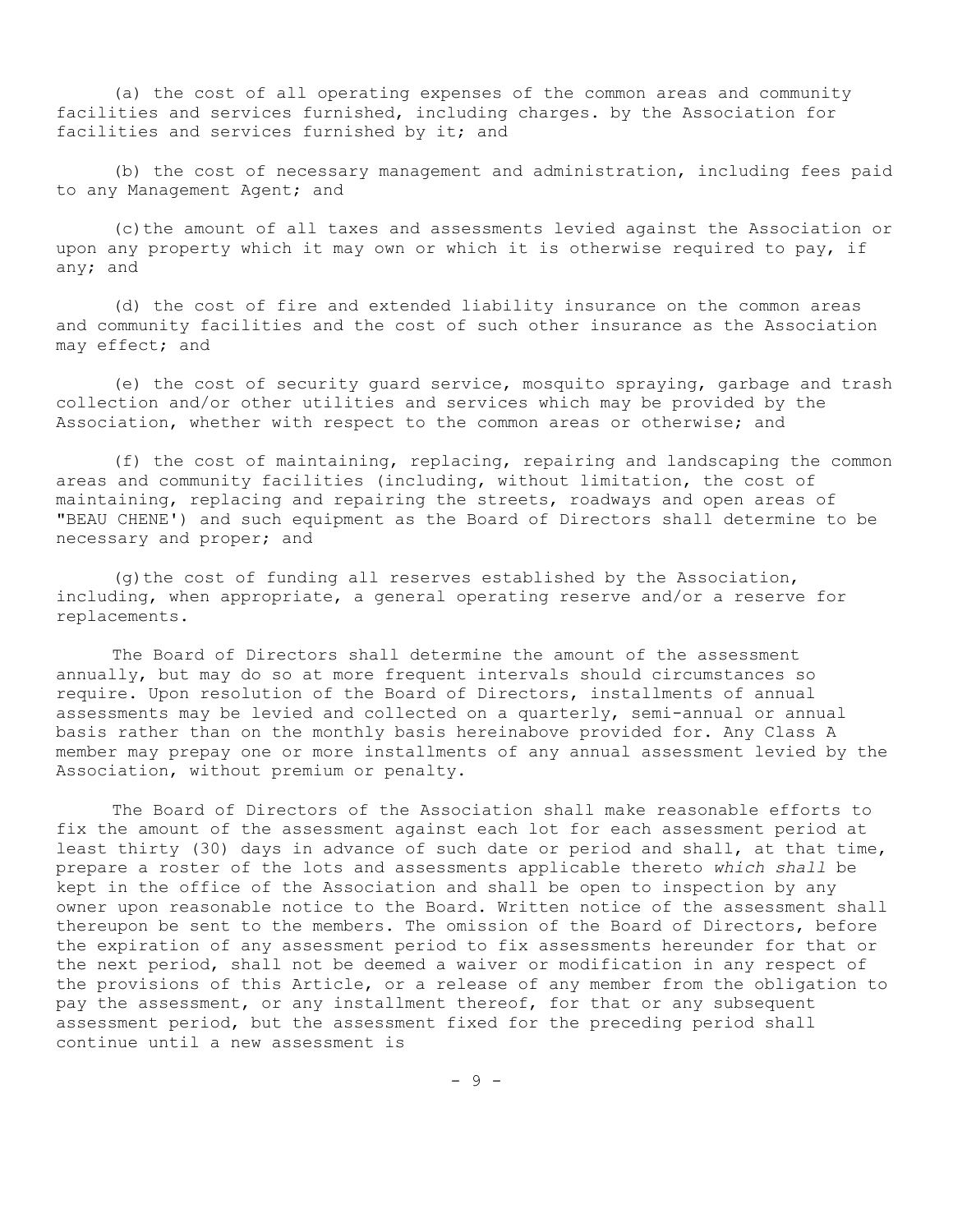(a) the cost of all operating expenses of the common areas and community facilities and services furnished, including charges. by the Association for facilities and services furnished by it; and

(b) the cost of necessary management and administration, including fees paid to any Management Agent; and

(c)the amount of all taxes and assessments levied against the Association or upon any property which it may own or which it is otherwise required to pay, if any; and

(d) the cost of fire and extended liability insurance on the common areas and community facilities and the cost of such other insurance as the Association may effect; and

(e) the cost of security guard service, mosquito spraying, garbage and trash collection and/or other utilities and services which may be provided by the Association, whether with respect to the common areas or otherwise; and

(f) the cost of maintaining, replacing, repairing and landscaping the common areas and community facilities (including, without limitation, the cost of maintaining, replacing and repairing the streets, roadways and open areas of "BEAU CHENE') and such equipment as the Board of Directors shall determine to be necessary and proper; and

(g) the cost of funding all reserves established by the Association, including, when appropriate, a general operating reserve and/or a reserve for replacements.

The Board of Directors shall determine the amount of the assessment annually, but may do so at more frequent intervals should circumstances so require. Upon resolution of the Board of Directors, installments of annual assessments may be levied and collected on a quarterly, semi-annual or annual basis rather than on the monthly basis hereinabove provided for. Any Class A member may prepay one or more installments of any annual assessment levied by the Association, without premium or penalty.

The Board of Directors of the Association shall make reasonable efforts to fix the amount of the assessment against each lot for each assessment period at least thirty (30) days in advance of such date or period and shall, at that time, prepare a roster of the lots and assessments applicable thereto *which shall* be kept in the office of the Association and shall be open to inspection by any owner upon reasonable notice to the Board. Written notice of the assessment shall thereupon be sent to the members. The omission of the Board of Directors, before the expiration of any assessment period to fix assessments hereunder for that or the next period, shall not be deemed a waiver or modification in any respect of the provisions of this Article, or a release of any member from the obligation to pay the assessment, or any installment thereof, for that or any subsequent assessment period, but the assessment fixed for the preceding period shall continue until a new assessment is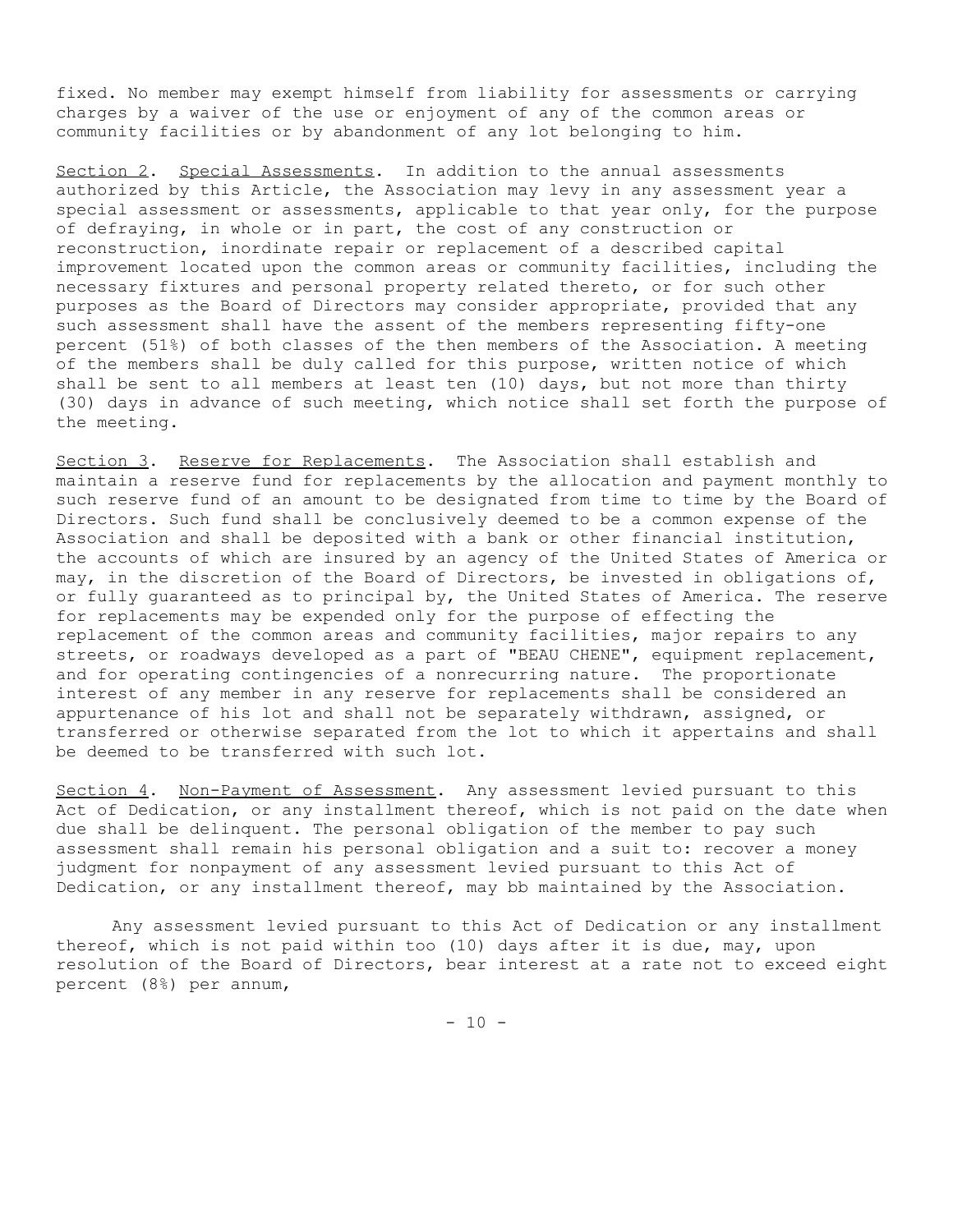fixed. No member may exempt himself from liability for assessments or carrying charges by a waiver of the use or enjoyment of any of the common areas or community facilities or by abandonment of any lot belonging to him.

Section 2. Special Assessments. In addition to the annual assessments authorized by this Article, the Association may levy in any assessment year a special assessment or assessments, applicable to that year only, for the purpose of defraying, in whole or in part, the cost of any construction or reconstruction, inordinate repair or replacement of a described capital improvement located upon the common areas or community facilities, including the necessary fixtures and personal property related thereto, or for such other purposes as the Board of Directors may consider appropriate, provided that any such assessment shall have the assent of the members representing fifty-one percent (51%) of both classes of the then members of the Association. A meeting of the members shall be duly called for this purpose, written notice of which shall be sent to all members at least ten (10) days, but not more than thirty (30) days in advance of such meeting, which notice shall set forth the purpose of the meeting.

Section 3. Reserve for Replacements. The Association shall establish and maintain a reserve fund for replacements by the allocation and payment monthly to such reserve fund of an amount to be designated from time to time by the Board of Directors. Such fund shall be conclusively deemed to be a common expense of the Association and shall be deposited with a bank or other financial institution, the accounts of which are insured by an agency of the United States of America or may, in the discretion of the Board of Directors, be invested in obligations of, or fully guaranteed as to principal by, the United States of America. The reserve for replacements may be expended only for the purpose of effecting the replacement of the common areas and community facilities, major repairs to any streets, or roadways developed as a part of "BEAU CHENE", equipment replacement, and for operating contingencies of a nonrecurring nature. The proportionate interest of any member in any reserve for replacements shall be considered an appurtenance of his lot and shall not be separately withdrawn, assigned, or transferred or otherwise separated from the lot to which it appertains and shall be deemed to be transferred with such lot.

Section 4. Non-Payment of Assessment. Any assessment levied pursuant to this Act of Dedication, or any installment thereof, which is not paid on the date when due shall be delinquent. The personal obligation of the member to pay such assessment shall remain his personal obligation and a suit to: recover a money judgment for nonpayment of any assessment levied pursuant to this Act of Dedication, or any installment thereof, may bb maintained by the Association.

Any assessment levied pursuant to this Act of Dedication or any installment thereof, which is not paid within too (10) days after it is due, may, upon resolution of the Board of Directors, bear interest at a rate not to exceed eight percent (8%) per annum,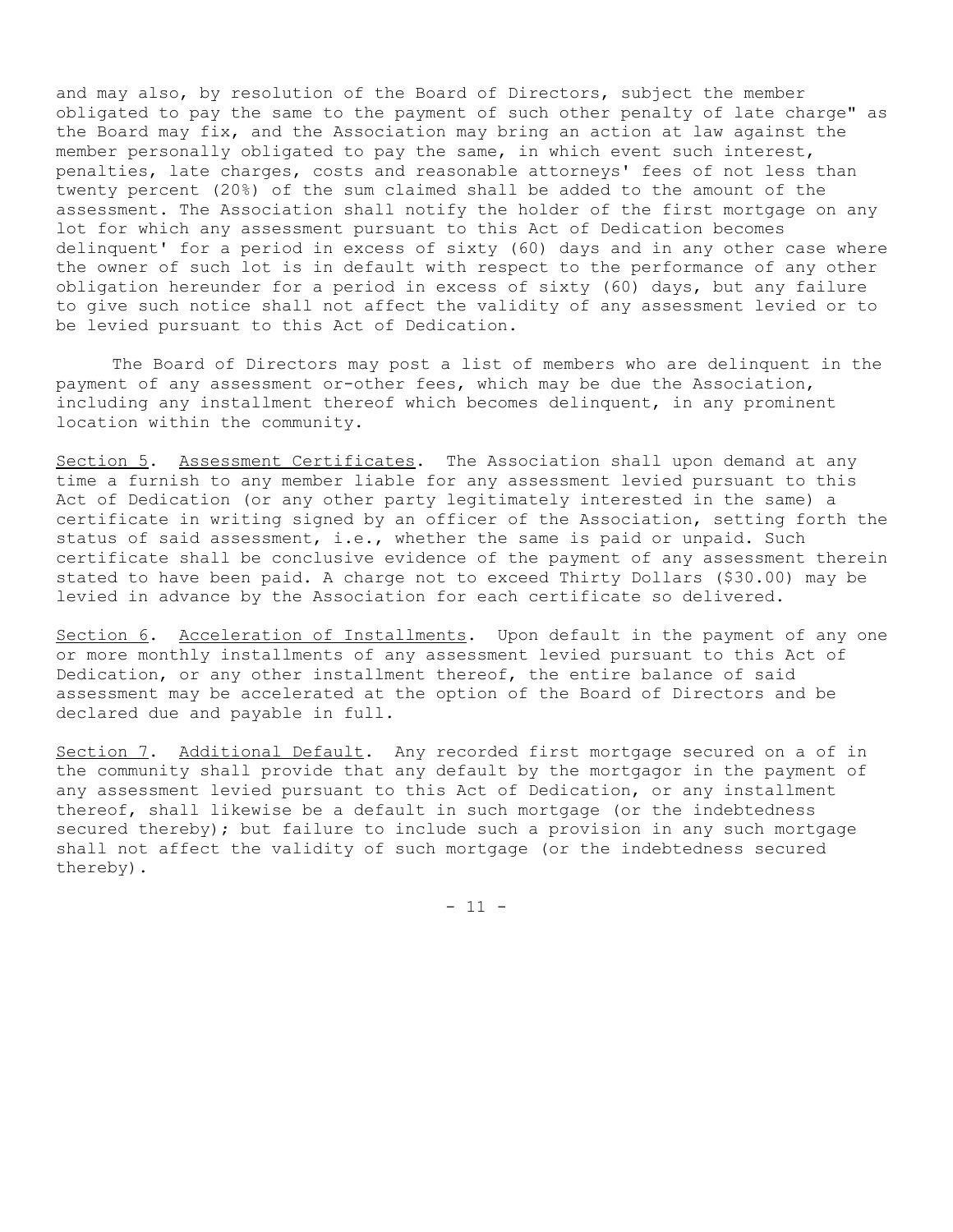and may also, by resolution of the Board of Directors, subject the member obligated to pay the same to the payment of such other penalty of late charge" as the Board may fix, and the Association may bring an action at law against the member personally obligated to pay the same, in which event such interest, penalties, late charges, costs and reasonable attorneys' fees of not less than twenty percent (20%) of the sum claimed shall be added to the amount of the assessment. The Association shall notify the holder of the first mortgage on any lot for which any assessment pursuant to this Act of Dedication becomes delinquent' for a period in excess of sixty (60) days and in any other case where the owner of such lot is in default with respect to the performance of any other obligation hereunder for a period in excess of sixty (60) days, but any failure to give such notice shall not affect the validity of any assessment levied or to be levied pursuant to this Act of Dedication.

The Board of Directors may post a list of members who are delinquent in the payment of any assessment or-other fees, which may be due the Association, including any installment thereof which becomes delinquent, in any prominent location within the community.

Section 5. Assessment Certificates. The Association shall upon demand at any time a furnish to any member liable for any assessment levied pursuant to this Act of Dedication (or any other party legitimately interested in the same) a certificate in writing signed by an officer of the Association, setting forth the status of said assessment, i.e., whether the same is paid or unpaid. Such certificate shall be conclusive evidence of the payment of any assessment therein stated to have been paid. A charge not to exceed Thirty Dollars (\$30.00) may be levied in advance by the Association for each certificate so delivered.

Section 6. Acceleration of Installments. Upon default in the payment of any one or more monthly installments of any assessment levied pursuant to this Act of Dedication, or any other installment thereof, the entire balance of said assessment may be accelerated at the option of the Board of Directors and be declared due and payable in full.

Section 7. Additional Default. Any recorded first mortgage secured on a of in the community shall provide that any default by the mortgagor in the payment of any assessment levied pursuant to this Act of Dedication, or any installment thereof, shall likewise be a default in such mortgage (or the indebtedness secured thereby); but failure to include such a provision in any such mortgage shall not affect the validity of such mortgage (or the indebtedness secured thereby).

 $- 11 -$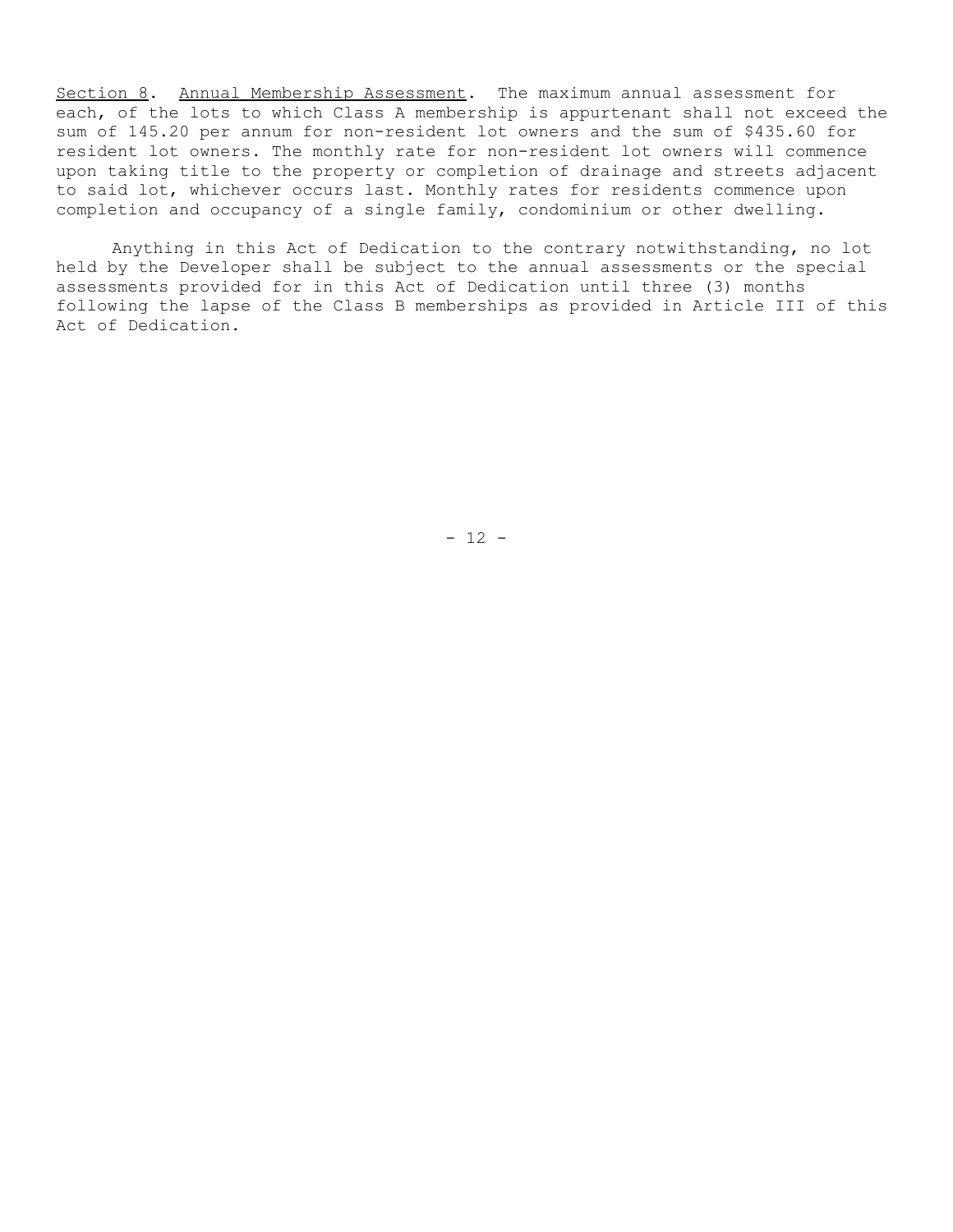Section 8. Annual Membership Assessment. The maximum annual assessment for each, of the lots to which Class A membership is appurtenant shall not exceed the sum of 145.20 per annum for non-resident lot owners and the sum of \$435.60 for resident lot owners. The monthly rate for non-resident lot owners will commence upon taking title to the property or completion of drainage and streets adjacent to said lot, whichever occurs last. Monthly rates for residents commence upon completion and occupancy of a single family, condominium or other dwelling.

Anything in this Act of Dedication to the contrary notwithstanding, no lot held by the Developer shall be subject to the annual assessments or the special assessments provided for in this Act of Dedication until three (3) months following the lapse of the Class B memberships as provided in Article III of this Act of Dedication.

 $- 12 -$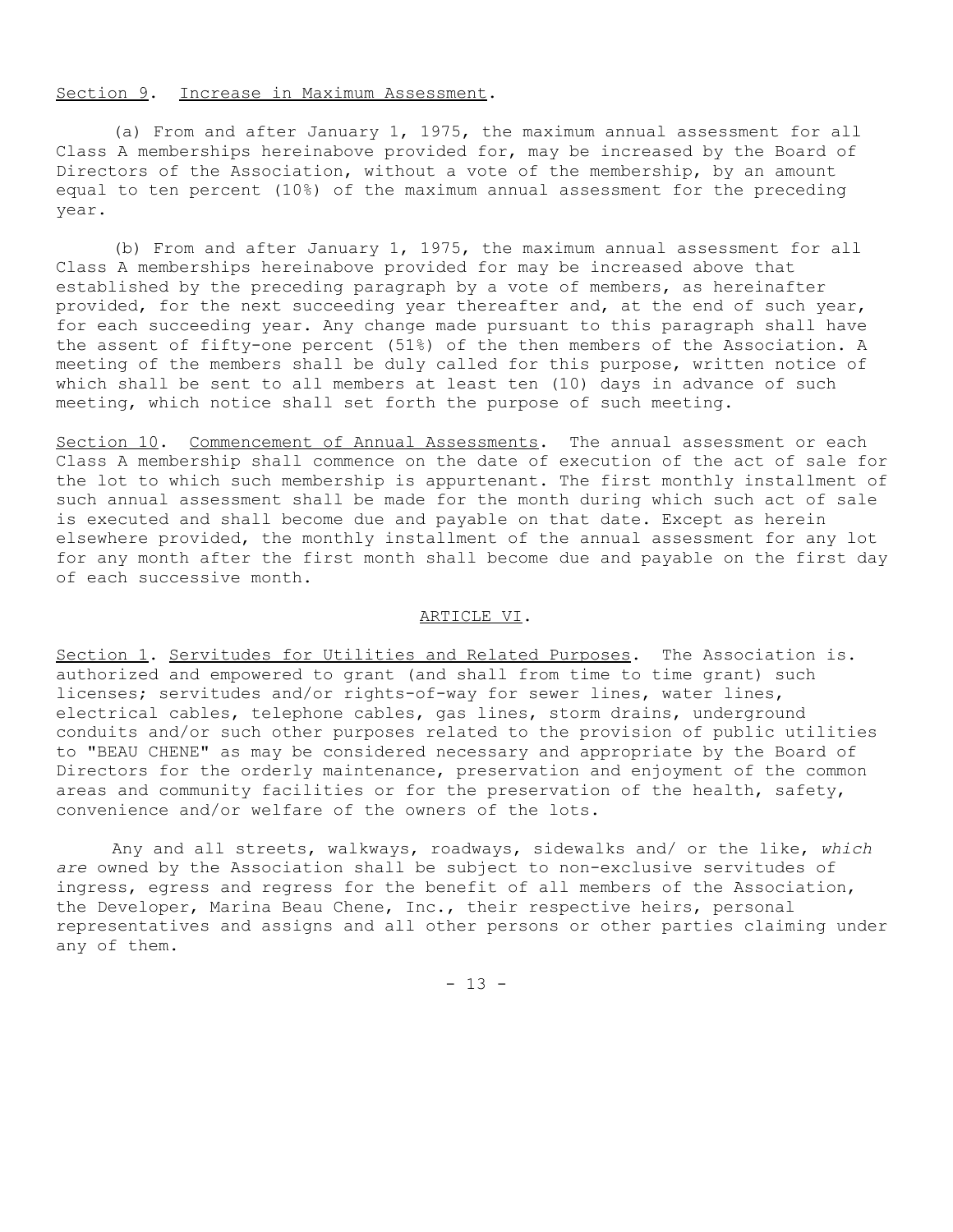## Section 9. Increase in Maximum Assessment.

(a) From and after January 1, 1975, the maximum annual assessment for all Class A memberships hereinabove provided for, may be increased by the Board of Directors of the Association, without a vote of the membership, by an amount equal to ten percent (10%) of the maximum annual assessment for the preceding year.

(b) From and after January 1, 1975, the maximum annual assessment for all Class A memberships hereinabove provided for may be increased above that established by the preceding paragraph by a vote of members, as hereinafter provided, for the next succeeding year thereafter and, at the end of such year, for each succeeding year. Any change made pursuant to this paragraph shall have the assent of fifty-one percent (51%) of the then members of the Association. A meeting of the members shall be duly called for this purpose, written notice of which shall be sent to all members at least ten (10) days in advance of such meeting, which notice shall set forth the purpose of such meeting.

Section 10. Commencement of Annual Assessments. The annual assessment or each Class A membership shall commence on the date of execution of the act of sale for the lot to which such membership is appurtenant. The first monthly installment of such annual assessment shall be made for the month during which such act of sale is executed and shall become due and payable on that date. Except as herein elsewhere provided, the monthly installment of the annual assessment for any lot for any month after the first month shall become due and payable on the first day of each successive month.

#### ARTICLE VI.

Section 1. Servitudes for Utilities and Related Purposes. The Association is. authorized and empowered to grant (and shall from time to time grant) such licenses; servitudes and/or rights-of-way for sewer lines, water lines, electrical cables, telephone cables, gas lines, storm drains, underground conduits and/or such other purposes related to the provision of public utilities to "BEAU CHENE" as may be considered necessary and appropriate by the Board of Directors for the orderly maintenance, preservation and enjoyment of the common areas and community facilities or for the preservation of the health, safety, convenience and/or welfare of the owners of the lots.

Any and all streets, walkways, roadways, sidewalks and/ or the like, *which are* owned by the Association shall be subject to non-exclusive servitudes of ingress, egress and regress for the benefit of all members of the Association, the Developer, Marina Beau Chene, Inc., their respective heirs, personal representatives and assigns and all other persons or other parties claiming under any of them.

 $- 13 -$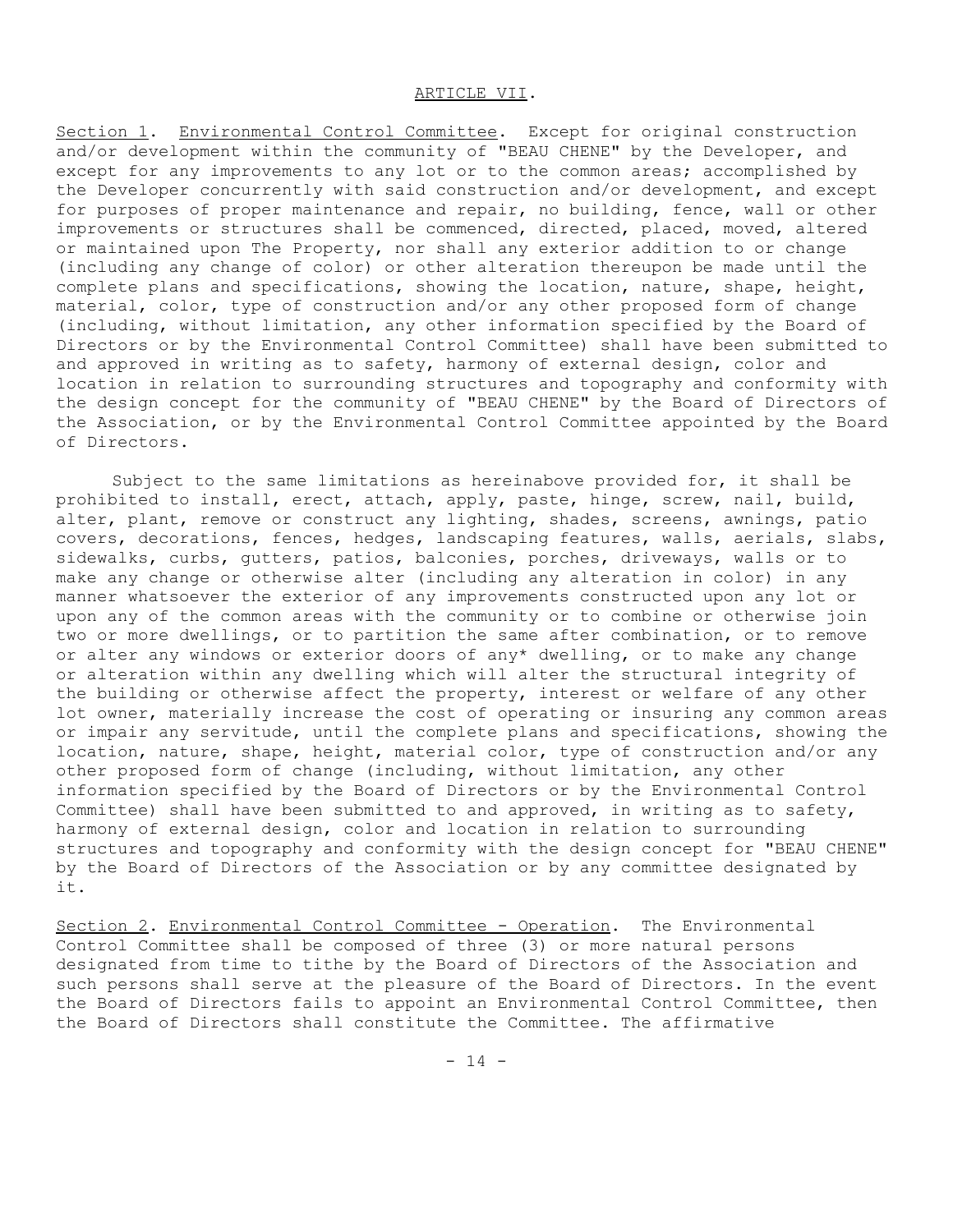#### ARTICLE VII.

Section 1. Environmental Control Committee. Except for original construction and/or development within the community of "BEAU CHENE" by the Developer, and except for any improvements to any lot or to the common areas; accomplished by the Developer concurrently with said construction and/or development, and except for purposes of proper maintenance and repair, no building, fence, wall or other improvements or structures shall be commenced, directed, placed, moved, altered or maintained upon The Property, nor shall any exterior addition to or change (including any change of color) or other alteration thereupon be made until the complete plans and specifications, showing the location, nature, shape, height, material, color, type of construction and/or any other proposed form of change (including, without limitation, any other information specified by the Board of Directors or by the Environmental Control Committee) shall have been submitted to and approved in writing as to safety, harmony of external design, color and location in relation to surrounding structures and topography and conformity with the design concept for the community of "BEAU CHENE" by the Board of Directors of the Association, or by the Environmental Control Committee appointed by the Board of Directors.

Subject to the same limitations as hereinabove provided for, it shall be prohibited to install, erect, attach, apply, paste, hinge, screw, nail, build, alter, plant, remove or construct any lighting, shades, screens, awnings, patio covers, decorations, fences, hedges, landscaping features, walls, aerials, slabs, sidewalks, curbs, gutters, patios, balconies, porches, driveways, walls or to make any change or otherwise alter (including any alteration in color) in any manner whatsoever the exterior of any improvements constructed upon any lot or upon any of the common areas with the community or to combine or otherwise join two or more dwellings, or to partition the same after combination, or to remove or alter any windows or exterior doors of any\* dwelling, or to make any change or alteration within any dwelling which will alter the structural integrity of the building or otherwise affect the property, interest or welfare of any other lot owner, materially increase the cost of operating or insuring any common areas or impair any servitude, until the complete plans and specifications, showing the location, nature, shape, height, material color, type of construction and/or any other proposed form of change (including, without limitation, any other information specified by the Board of Directors or by the Environmental Control Committee) shall have been submitted to and approved, in writing as to safety, harmony of external design, color and location in relation to surrounding structures and topography and conformity with the design concept for "BEAU CHENE" by the Board of Directors of the Association or by any committee designated by it.

Section 2. Environmental Control Committee - Operation. The Environmental Control Committee shall be composed of three (3) or more natural persons designated from time to tithe by the Board of Directors of the Association and such persons shall serve at the pleasure of the Board of Directors. In the event the Board of Directors fails to appoint an Environmental Control Committee, then the Board of Directors shall constitute the Committee. The affirmative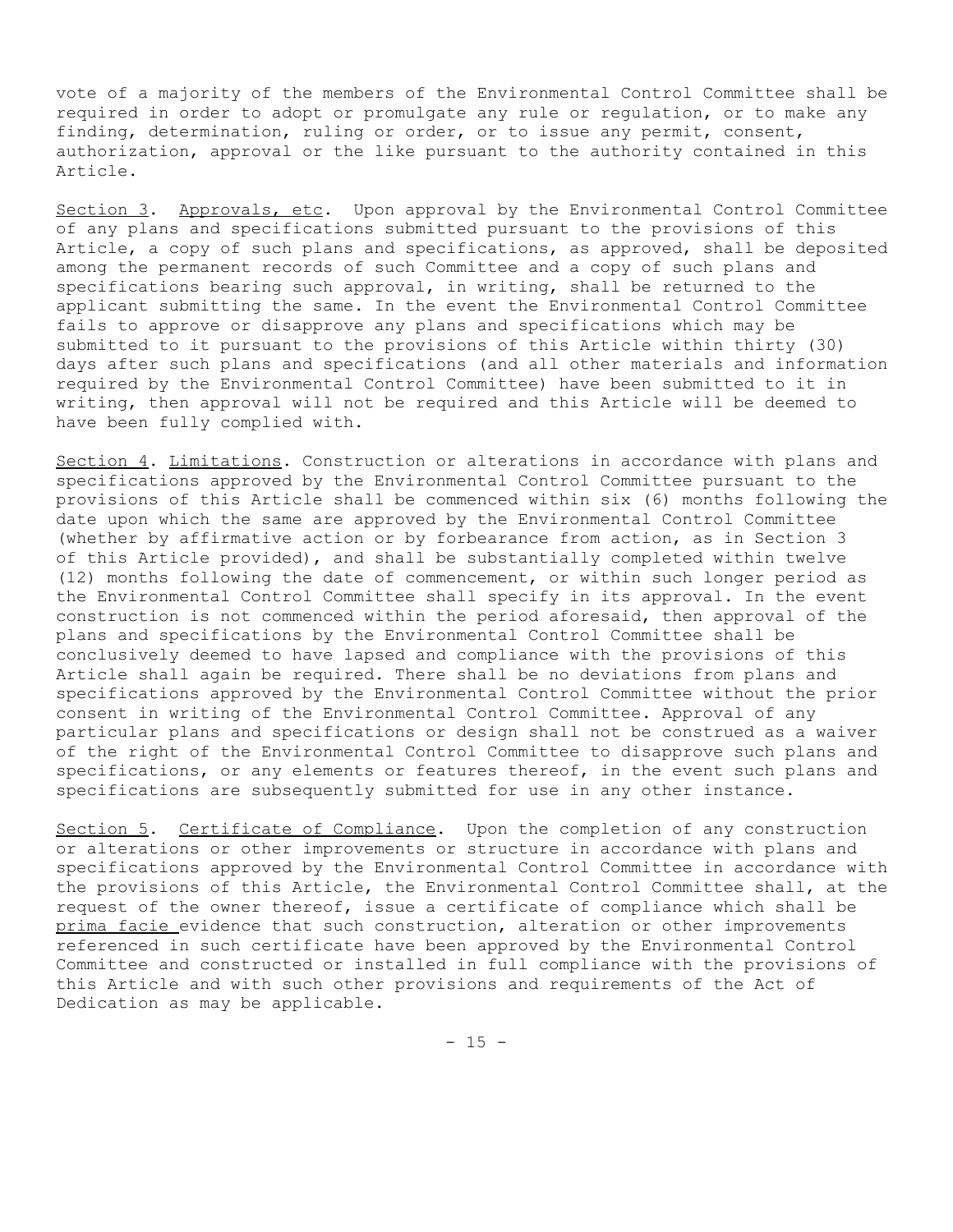vote of a majority of the members of the Environmental Control Committee shall be required in order to adopt or promulgate any rule or regulation, or to make any finding, determination, ruling or order, or to issue any permit, consent, authorization, approval or the like pursuant to the authority contained in this Article.

Section 3. Approvals, etc. Upon approval by the Environmental Control Committee of any plans and specifications submitted pursuant to the provisions of this Article, a copy of such plans and specifications, as approved, shall be deposited among the permanent records of such Committee and a copy of such plans and specifications bearing such approval, in writing, shall be returned to the applicant submitting the same. In the event the Environmental Control Committee fails to approve or disapprove any plans and specifications which may be submitted to it pursuant to the provisions of this Article within thirty (30) days after such plans and specifications (and all other materials and information required by the Environmental Control Committee) have been submitted to it in writing, then approval will not be required and this Article will be deemed to have been fully complied with.

Section 4. Limitations. Construction or alterations in accordance with plans and specifications approved by the Environmental Control Committee pursuant to the provisions of this Article shall be commenced within six (6) months following the date upon which the same are approved by the Environmental Control Committee (whether by affirmative action or by forbearance from action, as in Section 3 of this Article provided), and shall be substantially completed within twelve (12) months following the date of commencement, or within such longer period as the Environmental Control Committee shall specify in its approval. In the event construction is not commenced within the period aforesaid, then approval of the plans and specifications by the Environmental Control Committee shall be conclusively deemed to have lapsed and compliance with the provisions of this Article shall again be required. There shall be no deviations from plans and specifications approved by the Environmental Control Committee without the prior consent in writing of the Environmental Control Committee. Approval of any particular plans and specifications or design shall not be construed as a waiver of the right of the Environmental Control Committee to disapprove such plans and specifications, or any elements or features thereof, in the event such plans and specifications are subsequently submitted for use in any other instance.

Section 5. Certificate of Compliance. Upon the completion of any construction or alterations or other improvements or structure in accordance with plans and specifications approved by the Environmental Control Committee in accordance with the provisions of this Article, the Environmental Control Committee shall, at the request of the owner thereof, issue a certificate of compliance which shall be prima facie evidence that such construction, alteration or other improvements referenced in such certificate have been approved by the Environmental Control Committee and constructed or installed in full compliance with the provisions of this Article and with such other provisions and requirements of the Act of Dedication as may be applicable.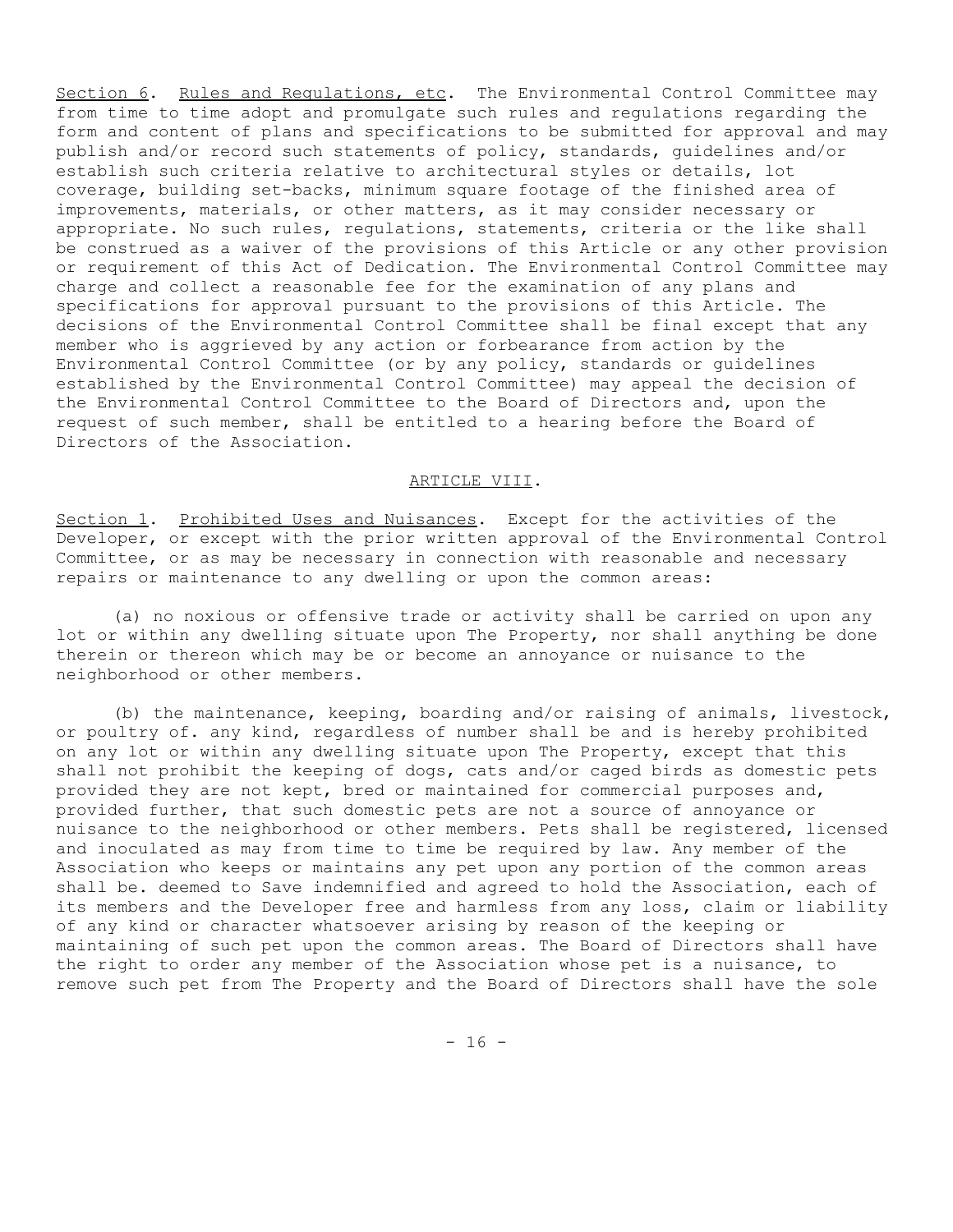Section 6. Rules and Regulations, etc. The Environmental Control Committee may from time to time adopt and promulgate such rules and regulations regarding the form and content of plans and specifications to be submitted for approval and may publish and/or record such statements of policy, standards, guidelines and/or establish such criteria relative to architectural styles or details, lot coverage, building set-backs, minimum square footage of the finished area of improvements, materials, or other matters, as it may consider necessary or appropriate. No such rules, regulations, statements, criteria or the like shall be construed as a waiver of the provisions of this Article or any other provision or requirement of this Act of Dedication. The Environmental Control Committee may charge and collect a reasonable fee for the examination of any plans and specifications for approval pursuant to the provisions of this Article. The decisions of the Environmental Control Committee shall be final except that any member who is aggrieved by any action or forbearance from action by the Environmental Control Committee (or by any policy, standards or guidelines established by the Environmental Control Committee) may appeal the decision of the Environmental Control Committee to the Board of Directors and, upon the request of such member, shall be entitled to a hearing before the Board of Directors of the Association.

#### ARTICLE VIII.

Section 1. Prohibited Uses and Nuisances. Except for the activities of the Developer, or except with the prior written approval of the Environmental Control Committee, or as may be necessary in connection with reasonable and necessary repairs or maintenance to any dwelling or upon the common areas:

(a) no noxious or offensive trade or activity shall be carried on upon any lot or within any dwelling situate upon The Property, nor shall anything be done therein or thereon which may be or become an annoyance or nuisance to the neighborhood or other members.

(b) the maintenance, keeping, boarding and/or raising of animals, livestock, or poultry of. any kind, regardless of number shall be and is hereby prohibited on any lot or within any dwelling situate upon The Property, except that this shall not prohibit the keeping of dogs, cats and/or caged birds as domestic pets provided they are not kept, bred or maintained for commercial purposes and, provided further, that such domestic pets are not a source of annoyance or nuisance to the neighborhood or other members. Pets shall be registered, licensed and inoculated as may from time to time be required by law. Any member of the Association who keeps or maintains any pet upon any portion of the common areas shall be. deemed to Save indemnified and agreed to hold the Association, each of its members and the Developer free and harmless from any loss, claim or liability of any kind or character whatsoever arising by reason of the keeping or maintaining of such pet upon the common areas. The Board of Directors shall have the right to order any member of the Association whose pet is a nuisance, to remove such pet from The Property and the Board of Directors shall have the sole

 $- 16 -$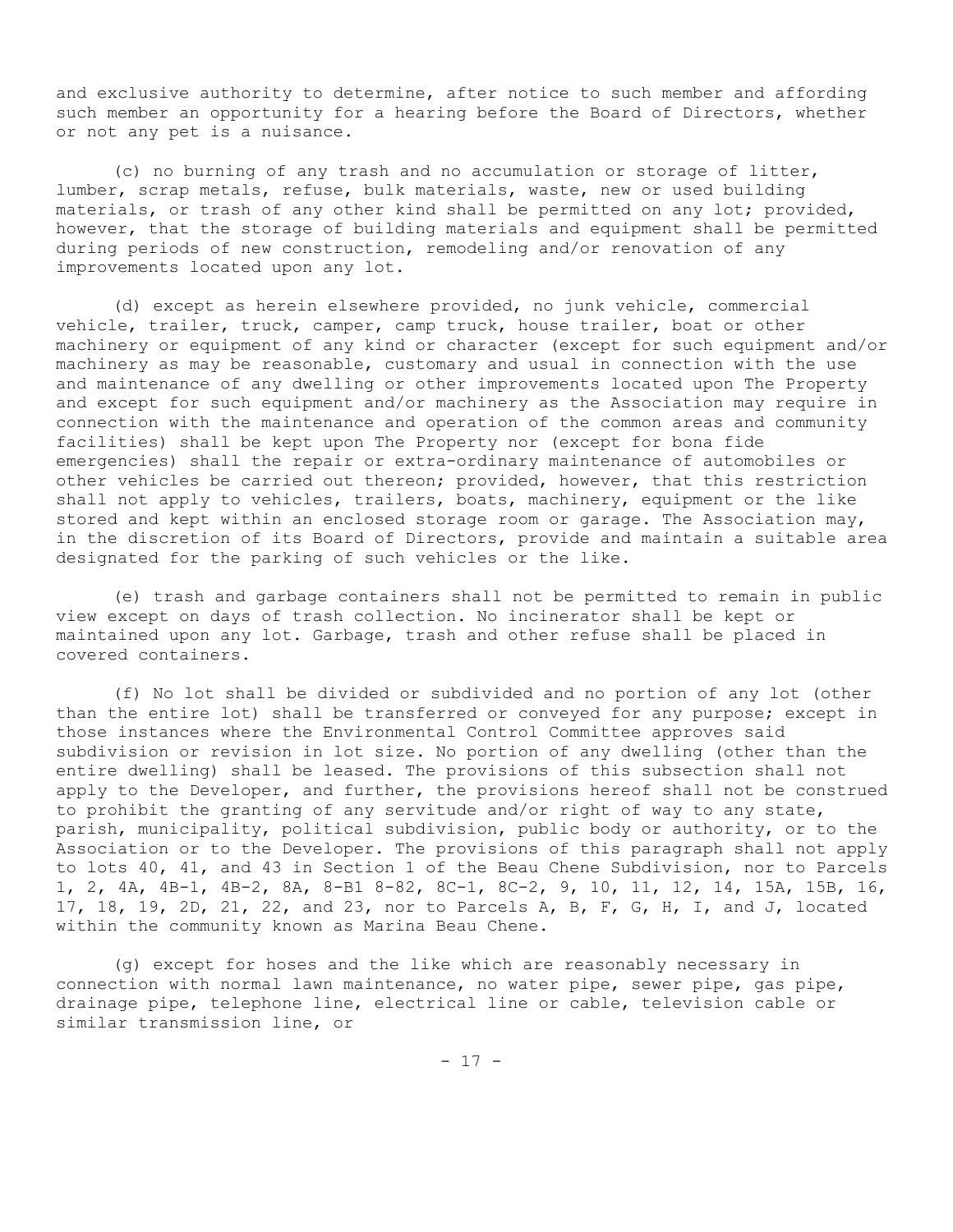and exclusive authority to determine, after notice to such member and affording such member an opportunity for a hearing before the Board of Directors, whether or not any pet is a nuisance.

(c) no burning of any trash and no accumulation or storage of litter, lumber, scrap metals, refuse, bulk materials, waste, new or used building materials, or trash of any other kind shall be permitted on any lot; provided, however, that the storage of building materials and equipment shall be permitted during periods of new construction, remodeling and/or renovation of any improvements located upon any lot.

(d) except as herein elsewhere provided, no junk vehicle, commercial vehicle, trailer, truck, camper, camp truck, house trailer, boat or other machinery or equipment of any kind or character (except for such equipment and/or machinery as may be reasonable, customary and usual in connection with the use and maintenance of any dwelling or other improvements located upon The Property and except for such equipment and/or machinery as the Association may require in connection with the maintenance and operation of the common areas and community facilities) shall be kept upon The Property nor (except for bona fide emergencies) shall the repair or extra-ordinary maintenance of automobiles or other vehicles be carried out thereon; provided, however, that this restriction shall not apply to vehicles, trailers, boats, machinery, equipment or the like stored and kept within an enclosed storage room or garage. The Association may, in the discretion of its Board of Directors, provide and maintain a suitable area designated for the parking of such vehicles or the like.

(e) trash and garbage containers shall not be permitted to remain in public view except on days of trash collection. No incinerator shall be kept or maintained upon any lot. Garbage, trash and other refuse shall be placed in covered containers.

(f) No lot shall be divided or subdivided and no portion of any lot (other than the entire lot) shall be transferred or conveyed for any purpose; except in those instances where the Environmental Control Committee approves said subdivision or revision in lot size. No portion of any dwelling (other than the entire dwelling) shall be leased. The provisions of this subsection shall not apply to the Developer, and further, the provisions hereof shall not be construed to prohibit the granting of any servitude and/or right of way to any state, parish, municipality, political subdivision, public body or authority, or to the Association or to the Developer. The provisions of this paragraph shall not apply to lots 40, 41, and 43 in Section 1 of the Beau Chene Subdivision, nor to Parcels 1, 2, 4A, 4B-1, 4B-2, 8A, 8-B1 8-82, 8C-1, 8C-2, 9, 10, 11, 12, 14, 15A, 15B, 16, 17, 18, 19, 2D, 21, 22, and 23, nor to Parcels A, B, F, G, H, I, and J, located within the community known as Marina Beau Chene.

(g) except for hoses and the like which are reasonably necessary in connection with normal lawn maintenance, no water pipe, sewer pipe, gas pipe, drainage pipe, telephone line, electrical line or cable, television cable or similar transmission line, or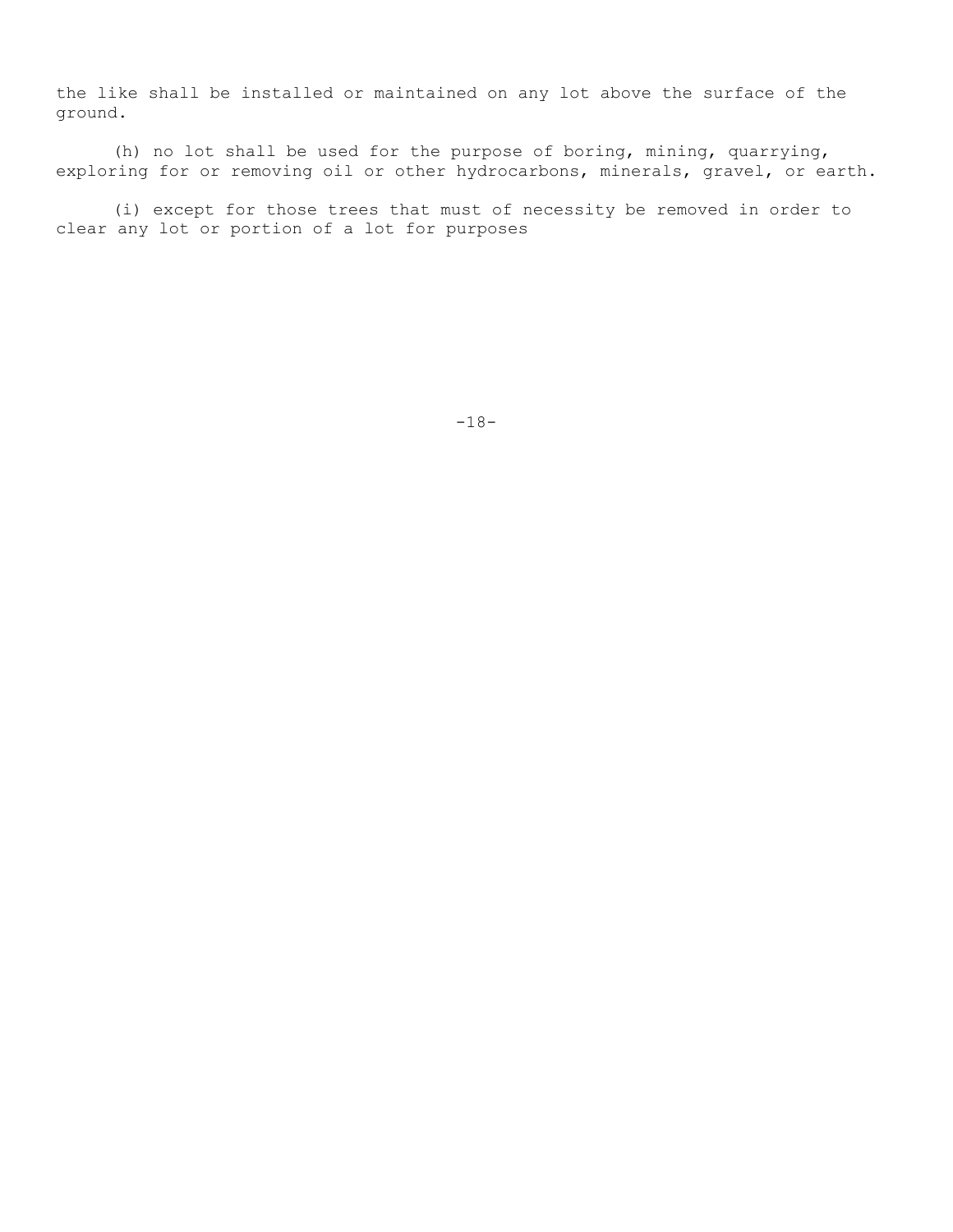the like shall be installed or maintained on any lot above the surface of the ground.

(h) no lot shall be used for the purpose of boring, mining, quarrying, exploring for or removing oil or other hydrocarbons, minerals, gravel, or earth.

(i) except for those trees that must of necessity be removed in order to clear any lot or portion of a lot for purposes

-18-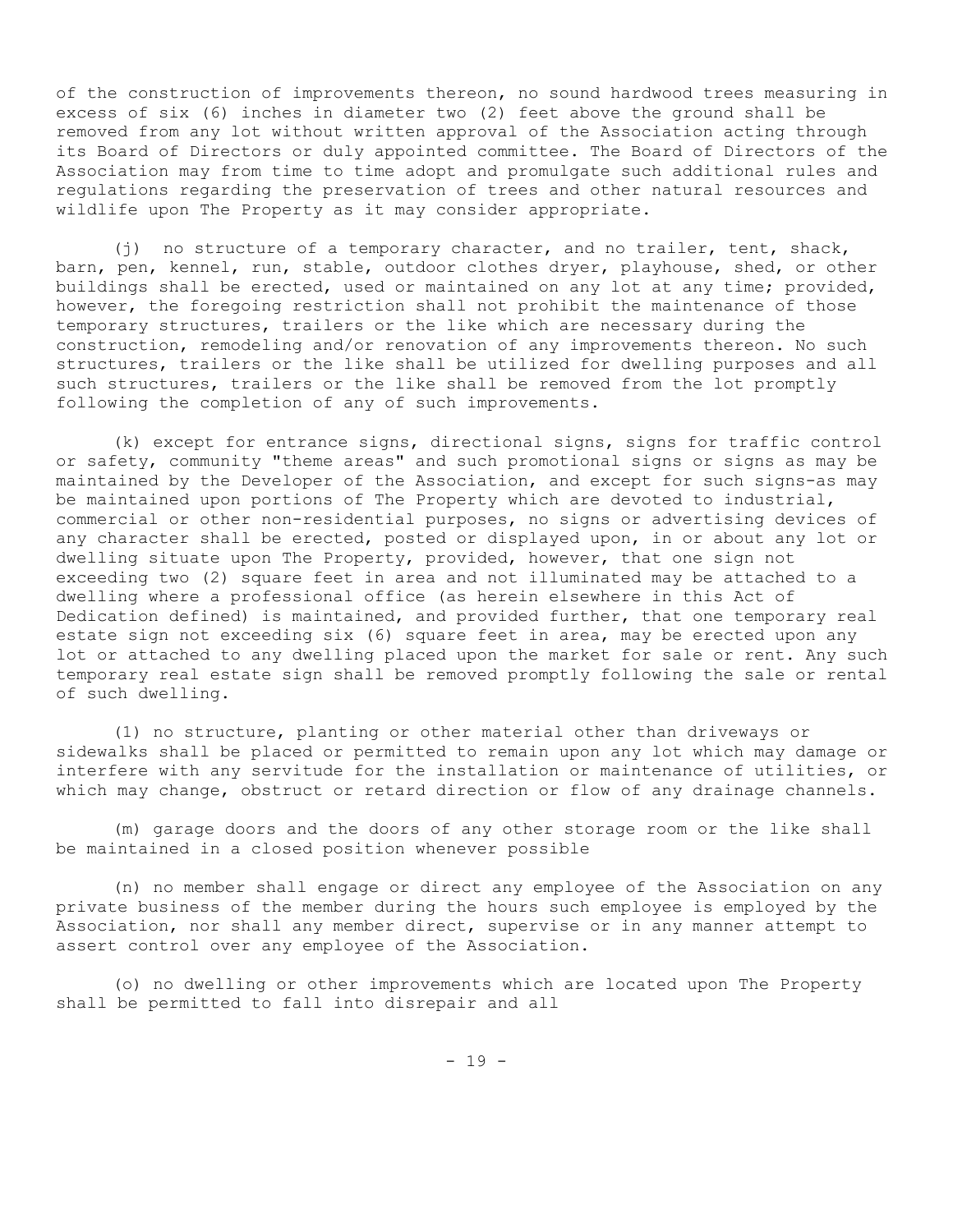of the construction of improvements thereon, no sound hardwood trees measuring in excess of six (6) inches in diameter two (2) feet above the ground shall be removed from any lot without written approval of the Association acting through its Board of Directors or duly appointed committee. The Board of Directors of the Association may from time to time adopt and promulgate such additional rules and regulations regarding the preservation of trees and other natural resources and wildlife upon The Property as it may consider appropriate.

(j) no structure of a temporary character, and no trailer, tent, shack, barn, pen, kennel, run, stable, outdoor clothes dryer, playhouse, shed, or other buildings shall be erected, used or maintained on any lot at any time; provided, however, the foregoing restriction shall not prohibit the maintenance of those temporary structures, trailers or the like which are necessary during the construction, remodeling and/or renovation of any improvements thereon. No such structures, trailers or the like shall be utilized for dwelling purposes and all such structures, trailers or the like shall be removed from the lot promptly following the completion of any of such improvements.

(k) except for entrance signs, directional signs, signs for traffic control or safety, community "theme areas" and such promotional signs or signs as may be maintained by the Developer of the Association, and except for such signs-as may be maintained upon portions of The Property which are devoted to industrial, commercial or other non-residential purposes, no signs or advertising devices of any character shall be erected, posted or displayed upon, in or about any lot or dwelling situate upon The Property, provided, however, that one sign not exceeding two (2) square feet in area and not illuminated may be attached to a dwelling where a professional office (as herein elsewhere in this Act of Dedication defined) is maintained, and provided further, that one temporary real estate sign not exceeding six (6) square feet in area, may be erected upon any lot or attached to any dwelling placed upon the market for sale or rent. Any such temporary real estate sign shall be removed promptly following the sale or rental of such dwelling.

(1) no structure, planting or other material other than driveways or sidewalks shall be placed or permitted to remain upon any lot which may damage or interfere with any servitude for the installation or maintenance of utilities, or which may change, obstruct or retard direction or flow of any drainage channels.

(m) garage doors and the doors of any other storage room or the like shall be maintained in a closed position whenever possible

(n) no member shall engage or direct any employee of the Association on any private business of the member during the hours such employee is employed by the Association, nor shall any member direct, supervise or in any manner attempt to assert control over any employee of the Association.

(o) no dwelling or other improvements which are located upon The Property shall be permitted to fall into disrepair and all

 $- 19 -$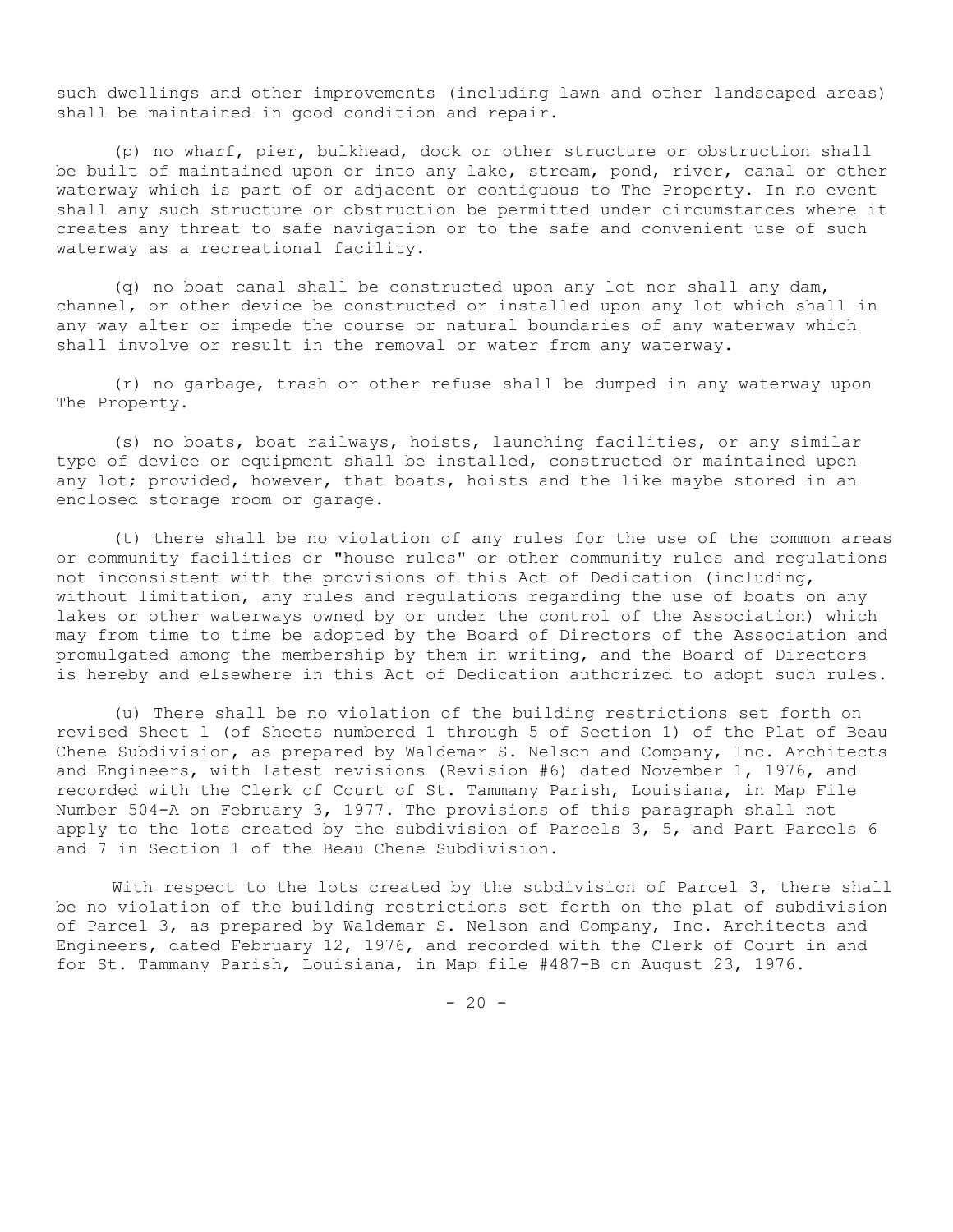such dwellings and other improvements (including lawn and other landscaped areas) shall be maintained in good condition and repair.

(p) no wharf, pier, bulkhead, dock or other structure or obstruction shall be built of maintained upon or into any lake, stream, pond, river, canal or other waterway which is part of or adjacent or contiguous to The Property. In no event shall any such structure or obstruction be permitted under circumstances where it creates any threat to safe navigation or to the safe and convenient use of such waterway as a recreational facility.

(q) no boat canal shall be constructed upon any lot nor shall any dam, channel, or other device be constructed or installed upon any lot which shall in any way alter or impede the course or natural boundaries of any waterway which shall involve or result in the removal or water from any waterway.

(r) no garbage, trash or other refuse shall be dumped in any waterway upon The Property.

(s) no boats, boat railways, hoists, launching facilities, or any similar type of device or equipment shall be installed, constructed or maintained upon any lot; provided, however, that boats, hoists and the like maybe stored in an enclosed storage room or garage.

(t) there shall be no violation of any rules for the use of the common areas or community facilities or "house rules" or other community rules and regulations not inconsistent with the provisions of this Act of Dedication (including, without limitation, any rules and regulations regarding the use of boats on any lakes or other waterways owned by or under the control of the Association) which may from time to time be adopted by the Board of Directors of the Association and promulgated among the membership by them in writing, and the Board of Directors is hereby and elsewhere in this Act of Dedication authorized to adopt such rules.

(u) There shall be no violation of the building restrictions set forth on revised Sheet l (of Sheets numbered 1 through 5 of Section 1) of the Plat of Beau Chene Subdivision, as prepared by Waldemar S. Nelson and Company, Inc. Architects and Engineers, with latest revisions (Revision #6) dated November 1, 1976, and recorded with the Clerk of Court of St. Tammany Parish, Louisiana, in Map File Number 504-A on February 3, 1977. The provisions of this paragraph shall not apply to the lots created by the subdivision of Parcels 3, 5, and Part Parcels 6 and 7 in Section 1 of the Beau Chene Subdivision.

With respect to the lots created by the subdivision of Parcel 3, there shall be no violation of the building restrictions set forth on the plat of subdivision of Parcel 3, as prepared by Waldemar S. Nelson and Company, Inc. Architects and Engineers, dated February 12, 1976, and recorded with the Clerk of Court in and for St. Tammany Parish, Louisiana, in Map file #487-B on August 23, 1976.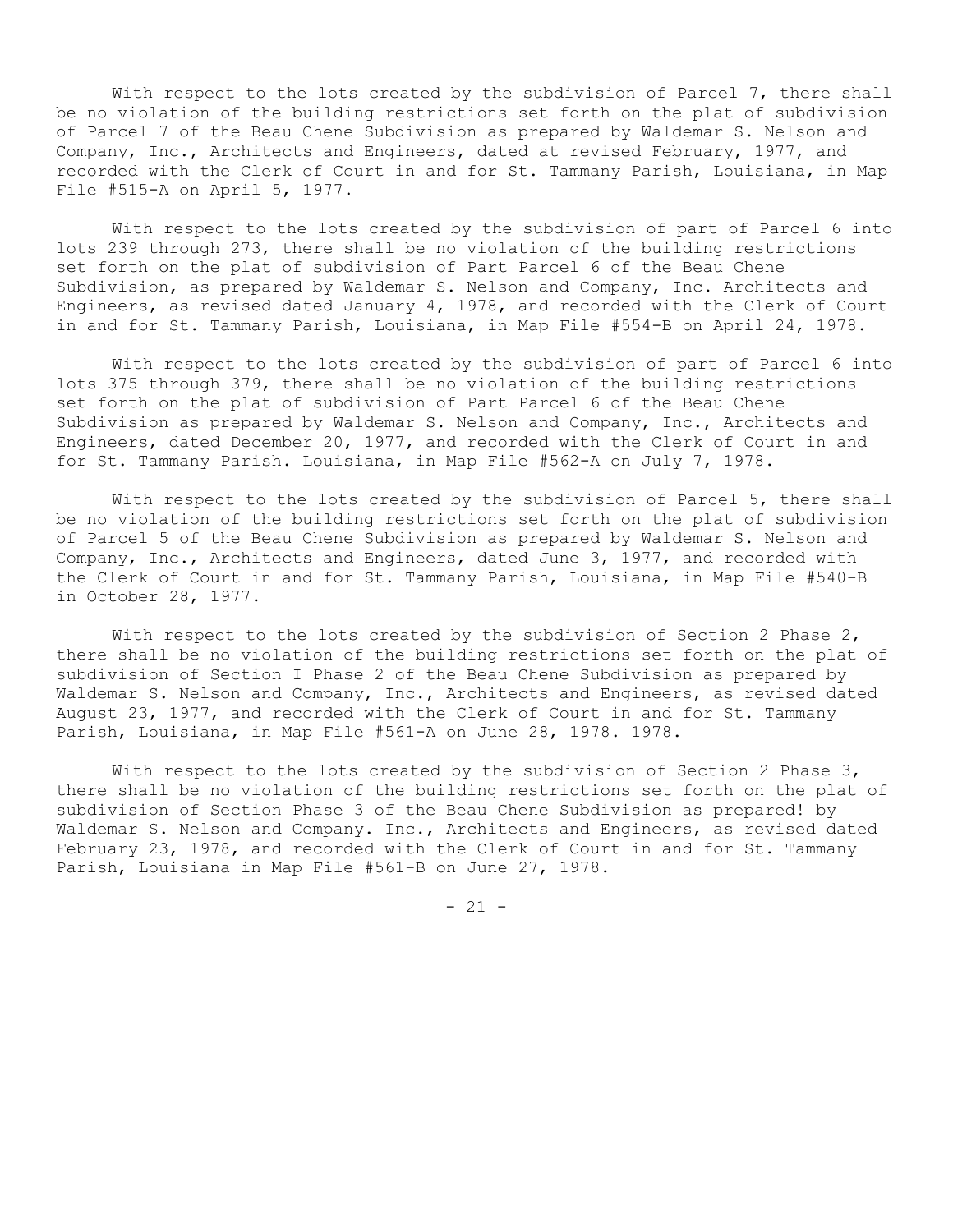With respect to the lots created by the subdivision of Parcel 7, there shall be no violation of the building restrictions set forth on the plat of subdivision of Parcel 7 of the Beau Chene Subdivision as prepared by Waldemar S. Nelson and Company, Inc., Architects and Engineers, dated at revised February, 1977, and recorded with the Clerk of Court in and for St. Tammany Parish, Louisiana, in Map File #515-A on April 5, 1977.

With respect to the lots created by the subdivision of part of Parcel 6 into lots 239 through 273, there shall be no violation of the building restrictions set forth on the plat of subdivision of Part Parcel 6 of the Beau Chene Subdivision, as prepared by Waldemar S. Nelson and Company, Inc. Architects and Engineers, as revised dated January 4, 1978, and recorded with the Clerk of Court in and for St. Tammany Parish, Louisiana, in Map File #554-B on April 24, 1978.

With respect to the lots created by the subdivision of part of Parcel 6 into lots 375 through 379, there shall be no violation of the building restrictions set forth on the plat of subdivision of Part Parcel 6 of the Beau Chene Subdivision as prepared by Waldemar S. Nelson and Company, Inc., Architects and Engineers, dated December 20, 1977, and recorded with the Clerk of Court in and for St. Tammany Parish. Louisiana, in Map File #562-A on July 7, 1978.

With respect to the lots created by the subdivision of Parcel 5, there shall be no violation of the building restrictions set forth on the plat of subdivision of Parcel 5 of the Beau Chene Subdivision as prepared by Waldemar S. Nelson and Company, Inc., Architects and Engineers, dated June 3, 1977, and recorded with the Clerk of Court in and for St. Tammany Parish, Louisiana, in Map File #540-B in October 28, 1977.

With respect to the lots created by the subdivision of Section 2 Phase  $2$ , there shall be no violation of the building restrictions set forth on the plat of subdivision of Section I Phase 2 of the Beau Chene Subdivision as prepared by Waldemar S. Nelson and Company, Inc., Architects and Engineers, as revised dated August 23, 1977, and recorded with the Clerk of Court in and for St. Tammany Parish, Louisiana, in Map File #561-A on June 28, 1978. 1978.

With respect to the lots created by the subdivision of Section 2 Phase  $3$ , there shall be no violation of the building restrictions set forth on the plat of subdivision of Section Phase 3 of the Beau Chene Subdivision as prepared! by Waldemar S. Nelson and Company. Inc., Architects and Engineers, as revised dated February 23, 1978, and recorded with the Clerk of Court in and for St. Tammany Parish, Louisiana in Map File #561-B on June 27, 1978.

 $- 21 -$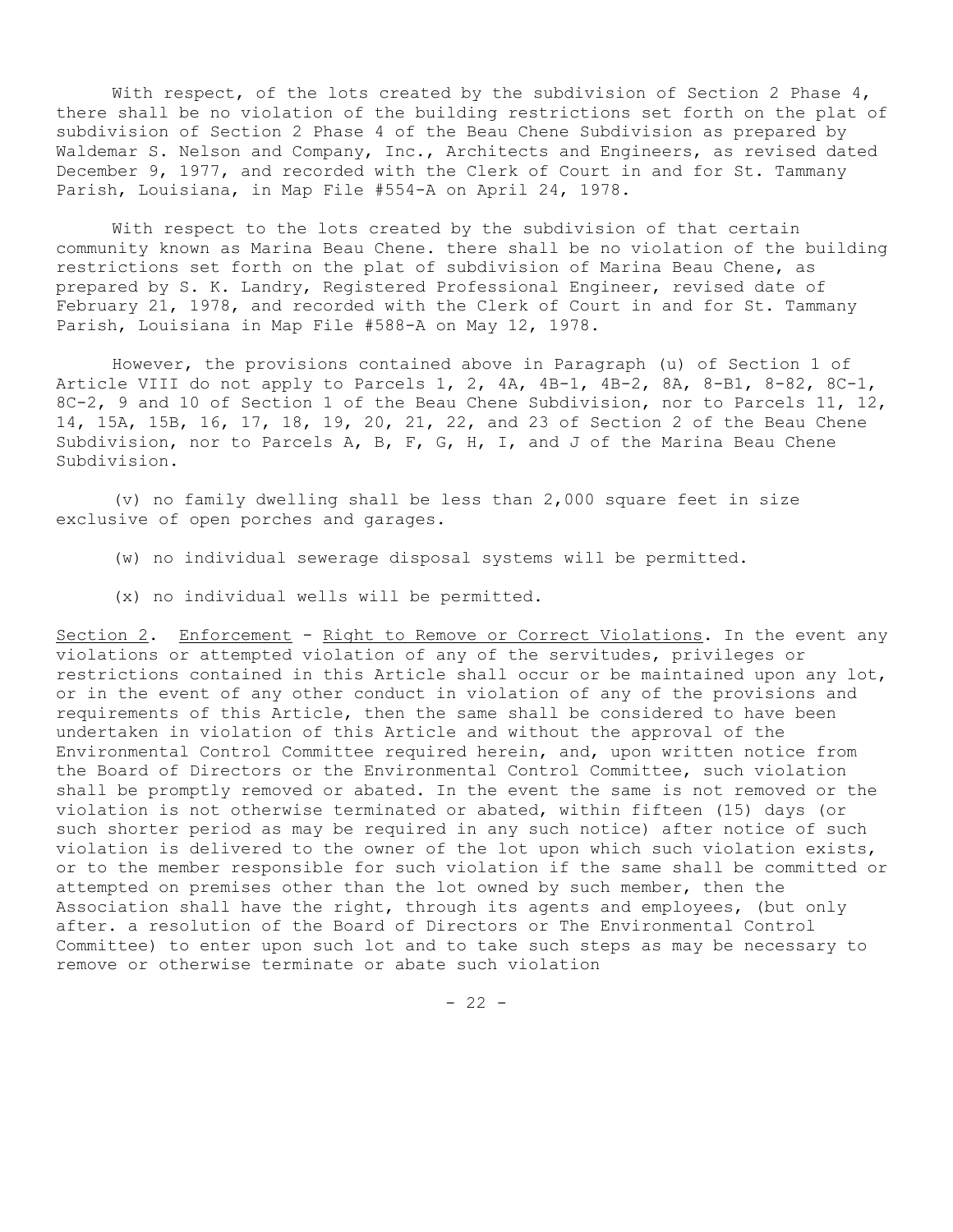With respect, of the lots created by the subdivision of Section 2 Phase  $4$ , there shall be no violation of the building restrictions set forth on the plat of subdivision of Section 2 Phase 4 of the Beau Chene Subdivision as prepared by Waldemar S. Nelson and Company, Inc., Architects and Engineers, as revised dated December 9, 1977, and recorded with the Clerk of Court in and for St. Tammany Parish, Louisiana, in Map File #554-A on April 24, 1978.

With respect to the lots created by the subdivision of that certain community known as Marina Beau Chene. there shall be no violation of the building restrictions set forth on the plat of subdivision of Marina Beau Chene, as prepared by S. K. Landry, Registered Professional Engineer, revised date of February 21, 1978, and recorded with the Clerk of Court in and for St. Tammany Parish, Louisiana in Map File #588-A on May 12, 1978.

However, the provisions contained above in Paragraph (u) of Section 1 of Article VIII do not apply to Parcels 1, 2, 4A, 4B-1, 4B-2, 8A, 8-B1, 8-82, 8C-1, 8C-2, 9 and 10 of Section 1 of the Beau Chene Subdivision, nor to Parcels 11, 12, 14, 15A, 15B, 16, 17, 18, 19, 20, 21, 22, and 23 of Section 2 of the Beau Chene Subdivision, nor to Parcels A, B, F, G, H, I, and J of the Marina Beau Chene Subdivision.

(v) no family dwelling shall be less than 2,000 square feet in size exclusive of open porches and garages.

(w) no individual sewerage disposal systems will be permitted.

(x) no individual wells will be permitted.

Section 2. Enforcement - Right to Remove or Correct Violations. In the event any violations or attempted violation of any of the servitudes, privileges or restrictions contained in this Article shall occur or be maintained upon any lot, or in the event of any other conduct in violation of any of the provisions and requirements of this Article, then the same shall be considered to have been undertaken in violation of this Article and without the approval of the Environmental Control Committee required herein, and, upon written notice from the Board of Directors or the Environmental Control Committee, such violation shall be promptly removed or abated. In the event the same is not removed or the violation is not otherwise terminated or abated, within fifteen (15) days (or such shorter period as may be required in any such notice) after notice of such violation is delivered to the owner of the lot upon which such violation exists, or to the member responsible for such violation if the same shall be committed or attempted on premises other than the lot owned by such member, then the Association shall have the right, through its agents and employees, (but only after. a resolution of the Board of Directors or The Environmental Control Committee) to enter upon such lot and to take such steps as may be necessary to remove or otherwise terminate or abate such violation

 $- 22 -$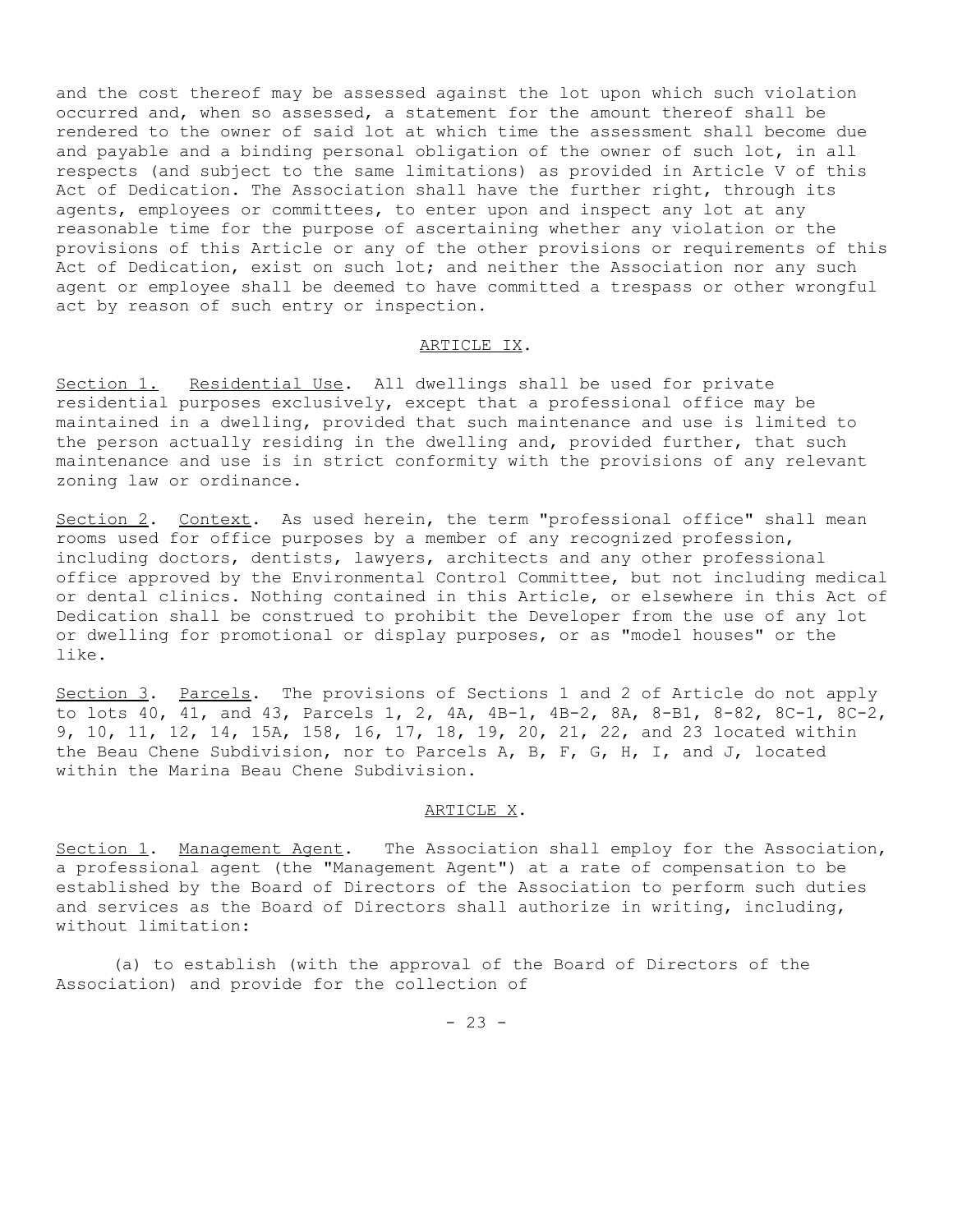and the cost thereof may be assessed against the lot upon which such violation occurred and, when so assessed, a statement for the amount thereof shall be rendered to the owner of said lot at which time the assessment shall become due and payable and a binding personal obligation of the owner of such lot, in all respects (and subject to the same limitations) as provided in Article V of this Act of Dedication. The Association shall have the further right, through its agents, employees or committees, to enter upon and inspect any lot at any reasonable time for the purpose of ascertaining whether any violation or the provisions of this Article or any of the other provisions or requirements of this Act of Dedication, exist on such lot; and neither the Association nor any such agent or employee shall be deemed to have committed a trespass or other wrongful act by reason of such entry or inspection.

#### ARTICLE IX.

Section 1. Residential Use. All dwellings shall be used for private residential purposes exclusively, except that a professional office may be maintained in a dwelling, provided that such maintenance and use is limited to the person actually residing in the dwelling and, provided further, that such maintenance and use is in strict conformity with the provisions of any relevant zoning law or ordinance.

Section 2. Context. As used herein, the term "professional office" shall mean rooms used for office purposes by a member of any recognized profession, including doctors, dentists, lawyers, architects and any other professional office approved by the Environmental Control Committee, but not including medical or dental clinics. Nothing contained in this Article, or elsewhere in this Act of Dedication shall be construed to prohibit the Developer from the use of any lot or dwelling for promotional or display purposes, or as "model houses" or the like.

Section 3. Parcels. The provisions of Sections 1 and 2 of Article do not apply to lots 40, 41, and 43, Parcels 1, 2, 4A, 4B-1, 4B-2, 8A, 8-B1, 8-82, 8C-1, 8C-2, 9, 10, 11, 12, 14, 15A, 158, 16, 17, 18, 19, 20, 21, 22, and 23 located within the Beau Chene Subdivision, nor to Parcels A, B, F, G, H, I, and J, located within the Marina Beau Chene Subdivision.

### ARTICLE X.

Section 1. Management Agent. The Association shall employ for the Association, a professional agent (the "Management Agent") at a rate of compensation to be established by the Board of Directors of the Association to perform such duties and services as the Board of Directors shall authorize in writing, including, without limitation:

(a) to establish (with the approval of the Board of Directors of the Association) and provide for the collection of

 $- 23 -$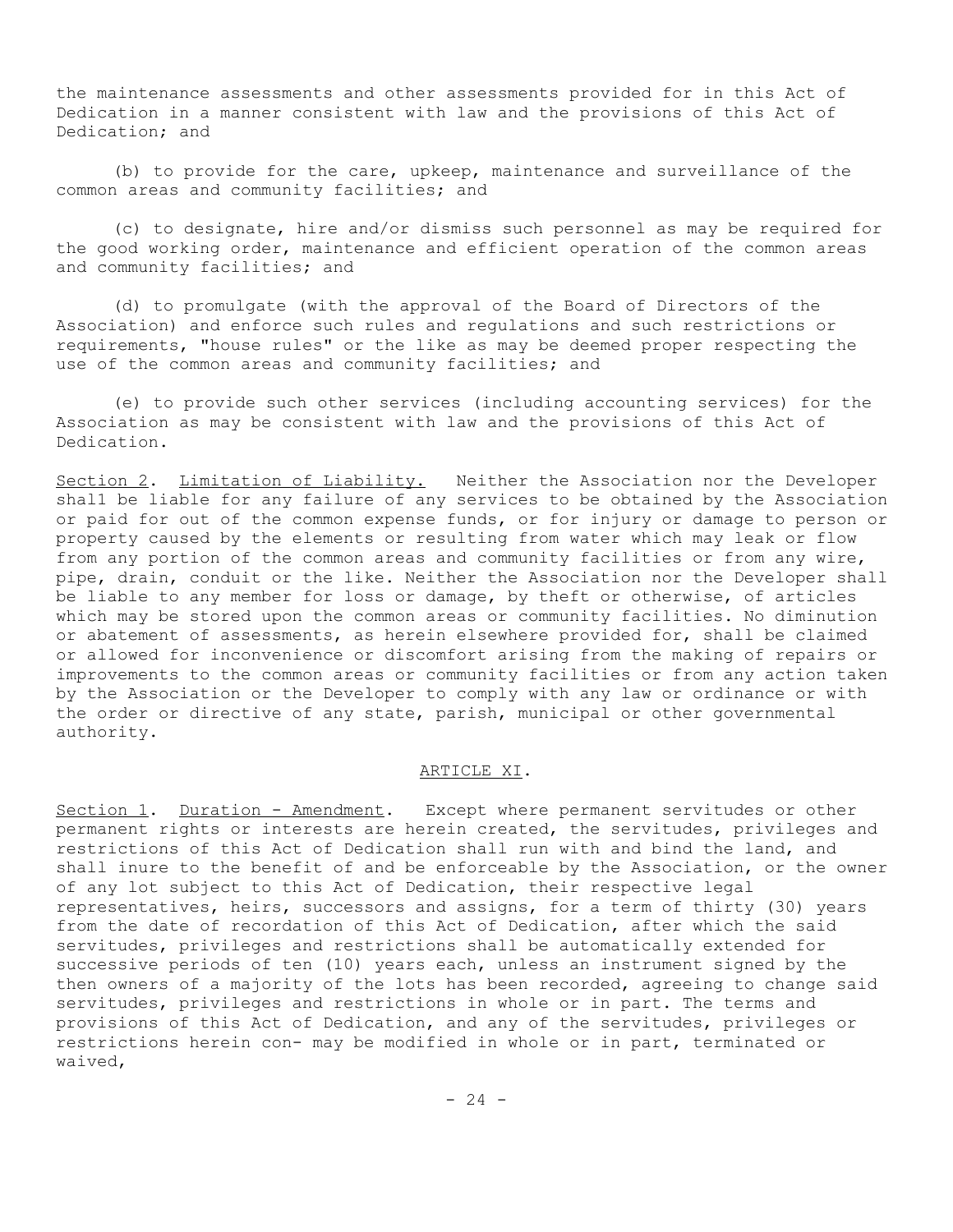the maintenance assessments and other assessments provided for in this Act of Dedication in a manner consistent with law and the provisions of this Act of Dedication; and

(b) to provide for the care, upkeep, maintenance and surveillance of the common areas and community facilities; and

(c) to designate, hire and/or dismiss such personnel as may be required for the good working order, maintenance and efficient operation of the common areas and community facilities; and

(d) to promulgate (with the approval of the Board of Directors of the Association) and enforce such rules and regulations and such restrictions or requirements, "house rules" or the like as may be deemed proper respecting the use of the common areas and community facilities; and

(e) to provide such other services (including accounting services) for the Association as may be consistent with law and the provisions of this Act of Dedication.

Section 2. Limitation of Liability. Neither the Association nor the Developer shal1 be liable for any failure of any services to be obtained by the Association or paid for out of the common expense funds, or for injury or damage to person or property caused by the elements or resulting from water which may leak or flow from any portion of the common areas and community facilities or from any wire, pipe, drain, conduit or the like. Neither the Association nor the Developer shall be liable to any member for loss or damage, by theft or otherwise, of articles which may be stored upon the common areas or community facilities. No diminution or abatement of assessments, as herein elsewhere provided for, shall be claimed or allowed for inconvenience or discomfort arising from the making of repairs or improvements to the common areas or community facilities or from any action taken by the Association or the Developer to comply with any law or ordinance or with the order or directive of any state, parish, municipal or other governmental authority.

# ARTICLE XI.

Section 1. Duration - Amendment. Except where permanent servitudes or other permanent rights or interests are herein created, the servitudes, privileges and restrictions of this Act of Dedication shall run with and bind the land, and shall inure to the benefit of and be enforceable by the Association, or the owner of any lot subject to this Act of Dedication, their respective legal representatives, heirs, successors and assigns, for a term of thirty (30) years from the date of recordation of this Act of Dedication, after which the said servitudes, privileges and restrictions shall be automatically extended for successive periods of ten (10) years each, unless an instrument signed by the then owners of a majority of the lots has been recorded, agreeing to change said servitudes, privileges and restrictions in whole or in part. The terms and provisions of this Act of Dedication, and any of the servitudes, privileges or restrictions herein con- may be modified in whole or in part, terminated or waived,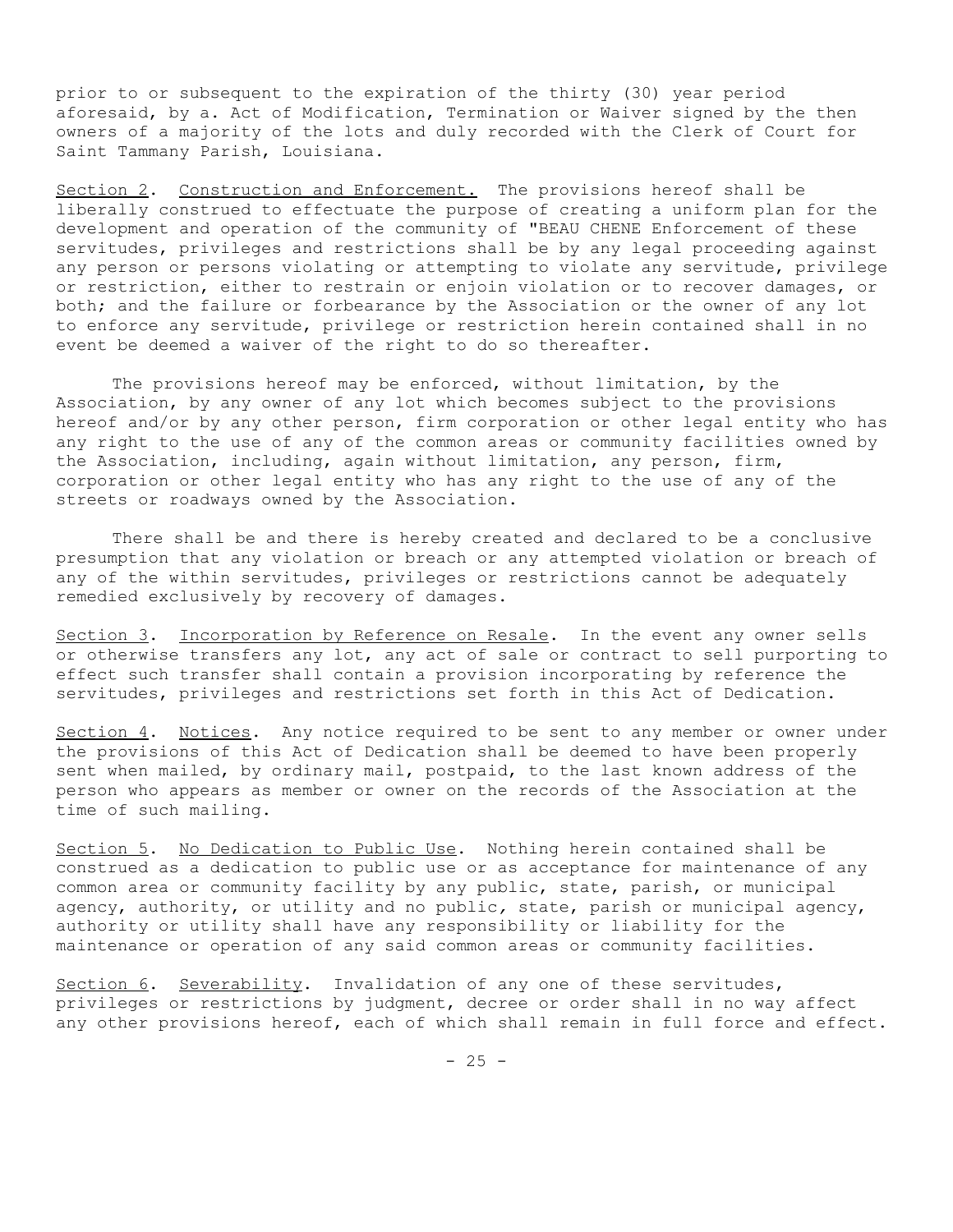prior to or subsequent to the expiration of the thirty (30) year period aforesaid, by a. Act of Modification, Termination or Waiver signed by the then owners of a majority of the lots and duly recorded with the Clerk of Court for Saint Tammany Parish, Louisiana.

Section 2. Construction and Enforcement. The provisions hereof shall be liberally construed to effectuate the purpose of creating a uniform plan for the development and operation of the community of "BEAU CHENE Enforcement of these servitudes, privileges and restrictions shall be by any legal proceeding against any person or persons violating or attempting to violate any servitude, privilege or restriction, either to restrain or enjoin violation or to recover damages, or both; and the failure or forbearance by the Association or the owner of any lot to enforce any servitude, privilege or restriction herein contained shall in no event be deemed a waiver of the right to do so thereafter.

The provisions hereof may be enforced, without limitation, by the Association, by any owner of any lot which becomes subject to the provisions hereof and/or by any other person, firm corporation or other legal entity who has any right to the use of any of the common areas or community facilities owned by the Association, including, again without limitation, any person, firm, corporation or other legal entity who has any right to the use of any of the streets or roadways owned by the Association.

There shall be and there is hereby created and declared to be a conclusive presumption that any violation or breach or any attempted violation or breach of any of the within servitudes, privileges or restrictions cannot be adequately remedied exclusively by recovery of damages.

Section 3. Incorporation by Reference on Resale. In the event any owner sells or otherwise transfers any lot, any act of sale or contract to sell purporting to effect such transfer shall contain a provision incorporating by reference the servitudes, privileges and restrictions set forth in this Act of Dedication.

Section 4. Notices. Any notice required to be sent to any member or owner under the provisions of this Act of Dedication shall be deemed to have been properly sent when mailed, by ordinary mail, postpaid, to the last known address of the person who appears as member or owner on the records of the Association at the time of such mailing.

Section 5. No Dedication to Public Use. Nothing herein contained shall be construed as a dedication to public use or as acceptance for maintenance of any common area or community facility by any public, state, parish, or municipal agency, authority, or utility and no public*,* state, parish or municipal agency, authority or utility shall have any responsibility or liability for the maintenance or operation of any said common areas or community facilities.

Section 6. Severability. Invalidation of any one of these servitudes, privileges or restrictions by judgment, decree or order shall in no way affect any other provisions hereof, each of which shall remain in full force and effect.